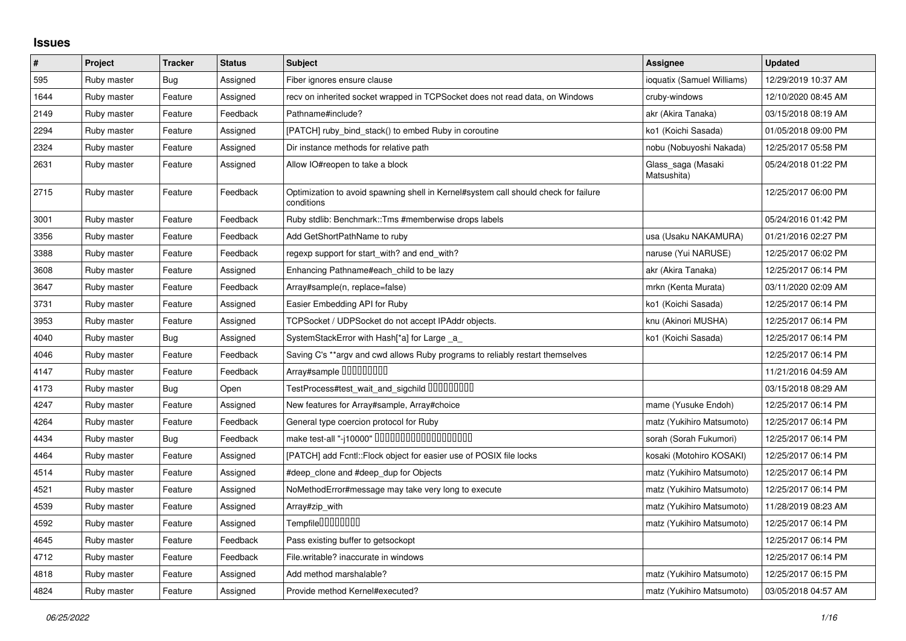## **Issues**

| $\pmb{\#}$ | Project     | <b>Tracker</b> | <b>Status</b> | <b>Subject</b>                                                                                    | <b>Assignee</b>                   | <b>Updated</b>      |
|------------|-------------|----------------|---------------|---------------------------------------------------------------------------------------------------|-----------------------------------|---------------------|
| 595        | Ruby master | Bug            | Assigned      | Fiber ignores ensure clause                                                                       | ioquatix (Samuel Williams)        | 12/29/2019 10:37 AM |
| 1644       | Ruby master | Feature        | Assigned      | recv on inherited socket wrapped in TCPSocket does not read data, on Windows                      | cruby-windows                     | 12/10/2020 08:45 AM |
| 2149       | Ruby master | Feature        | Feedback      | Pathname#include?                                                                                 | akr (Akira Tanaka)                | 03/15/2018 08:19 AM |
| 2294       | Ruby master | Feature        | Assigned      | [PATCH] ruby_bind_stack() to embed Ruby in coroutine                                              | ko1 (Koichi Sasada)               | 01/05/2018 09:00 PM |
| 2324       | Ruby master | Feature        | Assigned      | Dir instance methods for relative path                                                            | nobu (Nobuyoshi Nakada)           | 12/25/2017 05:58 PM |
| 2631       | Ruby master | Feature        | Assigned      | Allow IO#reopen to take a block                                                                   | Glass_saga (Masaki<br>Matsushita) | 05/24/2018 01:22 PM |
| 2715       | Ruby master | Feature        | Feedback      | Optimization to avoid spawning shell in Kernel#system call should check for failure<br>conditions |                                   | 12/25/2017 06:00 PM |
| 3001       | Ruby master | Feature        | Feedback      | Ruby stdlib: Benchmark::Tms #memberwise drops labels                                              |                                   | 05/24/2016 01:42 PM |
| 3356       | Ruby master | Feature        | Feedback      | Add GetShortPathName to ruby                                                                      | usa (Usaku NAKAMURA)              | 01/21/2016 02:27 PM |
| 3388       | Ruby master | Feature        | Feedback      | regexp support for start_with? and end_with?                                                      | naruse (Yui NARUSE)               | 12/25/2017 06:02 PM |
| 3608       | Ruby master | Feature        | Assigned      | Enhancing Pathname#each child to be lazy                                                          | akr (Akira Tanaka)                | 12/25/2017 06:14 PM |
| 3647       | Ruby master | Feature        | Feedback      | Array#sample(n, replace=false)                                                                    | mrkn (Kenta Murata)               | 03/11/2020 02:09 AM |
| 3731       | Ruby master | Feature        | Assigned      | Easier Embedding API for Ruby                                                                     | ko1 (Koichi Sasada)               | 12/25/2017 06:14 PM |
| 3953       | Ruby master | Feature        | Assigned      | TCPSocket / UDPSocket do not accept IPAddr objects.                                               | knu (Akinori MUSHA)               | 12/25/2017 06:14 PM |
| 4040       | Ruby master | Bug            | Assigned      | SystemStackError with Hash[*a] for Large _a                                                       | ko1 (Koichi Sasada)               | 12/25/2017 06:14 PM |
| 4046       | Ruby master | Feature        | Feedback      | Saving C's ** argv and cwd allows Ruby programs to reliably restart themselves                    |                                   | 12/25/2017 06:14 PM |
| 4147       | Ruby master | Feature        | Feedback      | Array#sample 000000000                                                                            |                                   | 11/21/2016 04:59 AM |
| 4173       | Ruby master | Bug            | Open          | TestProcess#test_wait_and_sigchild DDDDDDDD                                                       |                                   | 03/15/2018 08:29 AM |
| 4247       | Ruby master | Feature        | Assigned      | New features for Array#sample, Array#choice                                                       | mame (Yusuke Endoh)               | 12/25/2017 06:14 PM |
| 4264       | Ruby master | Feature        | Feedback      | General type coercion protocol for Ruby                                                           | matz (Yukihiro Matsumoto)         | 12/25/2017 06:14 PM |
| 4434       | Ruby master | Bug            | Feedback      | make test-all "-j10000" 0000000000000000000                                                       | sorah (Sorah Fukumori)            | 12/25/2017 06:14 PM |
| 4464       | Ruby master | Feature        | Assigned      | [PATCH] add Fcntl:: Flock object for easier use of POSIX file locks                               | kosaki (Motohiro KOSAKI)          | 12/25/2017 06:14 PM |
| 4514       | Ruby master | Feature        | Assigned      | #deep_clone and #deep_dup for Objects                                                             | matz (Yukihiro Matsumoto)         | 12/25/2017 06:14 PM |
| 4521       | Ruby master | Feature        | Assigned      | NoMethodError#message may take very long to execute                                               | matz (Yukihiro Matsumoto)         | 12/25/2017 06:14 PM |
| 4539       | Ruby master | Feature        | Assigned      | Array#zip_with                                                                                    | matz (Yukihiro Matsumoto)         | 11/28/2019 08:23 AM |
| 4592       | Ruby master | Feature        | Assigned      | Tempfile0000000                                                                                   | matz (Yukihiro Matsumoto)         | 12/25/2017 06:14 PM |
| 4645       | Ruby master | Feature        | Feedback      | Pass existing buffer to getsockopt                                                                |                                   | 12/25/2017 06:14 PM |
| 4712       | Ruby master | Feature        | Feedback      | File.writable? inaccurate in windows                                                              |                                   | 12/25/2017 06:14 PM |
| 4818       | Ruby master | Feature        | Assigned      | Add method marshalable?                                                                           | matz (Yukihiro Matsumoto)         | 12/25/2017 06:15 PM |
| 4824       | Ruby master | Feature        | Assigned      | Provide method Kernel#executed?                                                                   | matz (Yukihiro Matsumoto)         | 03/05/2018 04:57 AM |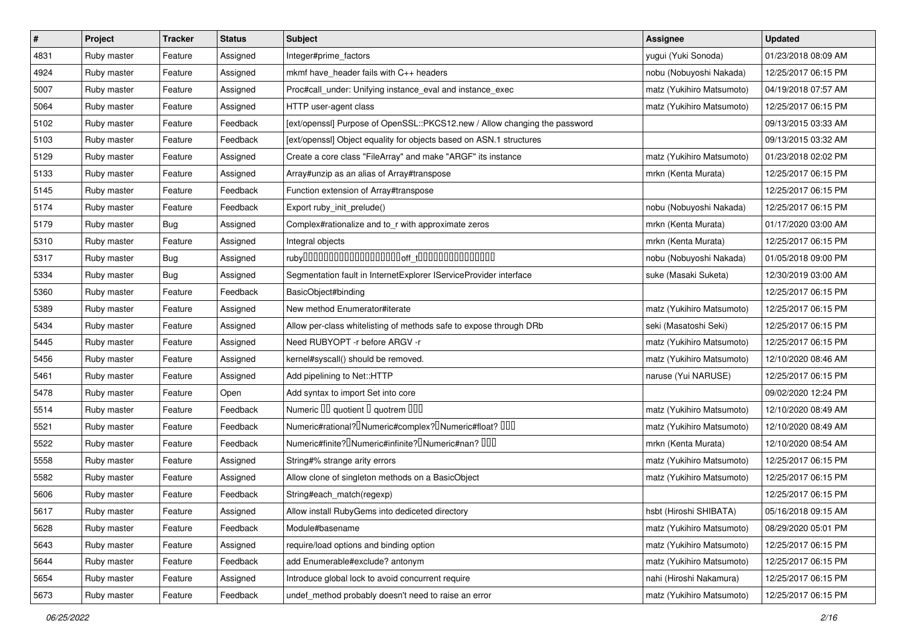| $\sharp$ | Project     | <b>Tracker</b> | <b>Status</b> | Subject                                                                                       | <b>Assignee</b>           | <b>Updated</b>      |
|----------|-------------|----------------|---------------|-----------------------------------------------------------------------------------------------|---------------------------|---------------------|
| 4831     | Ruby master | Feature        | Assigned      | Integer#prime_factors                                                                         | yugui (Yuki Sonoda)       | 01/23/2018 08:09 AM |
| 4924     | Ruby master | Feature        | Assigned      | mkmf have_header fails with C++ headers                                                       | nobu (Nobuyoshi Nakada)   | 12/25/2017 06:15 PM |
| 5007     | Ruby master | Feature        | Assigned      | Proc#call_under: Unifying instance_eval and instance_exec                                     | matz (Yukihiro Matsumoto) | 04/19/2018 07:57 AM |
| 5064     | Ruby master | Feature        | Assigned      | HTTP user-agent class                                                                         | matz (Yukihiro Matsumoto) | 12/25/2017 06:15 PM |
| 5102     | Ruby master | Feature        | Feedback      | [ext/openssl] Purpose of OpenSSL::PKCS12.new / Allow changing the password                    |                           | 09/13/2015 03:33 AM |
| 5103     | Ruby master | Feature        | Feedback      | [ext/openssl] Object equality for objects based on ASN.1 structures                           |                           | 09/13/2015 03:32 AM |
| 5129     | Ruby master | Feature        | Assigned      | Create a core class "FileArray" and make "ARGF" its instance                                  | matz (Yukihiro Matsumoto) | 01/23/2018 02:02 PM |
| 5133     | Ruby master | Feature        | Assigned      | Array#unzip as an alias of Array#transpose                                                    | mrkn (Kenta Murata)       | 12/25/2017 06:15 PM |
| 5145     | Ruby master | Feature        | Feedback      | Function extension of Array#transpose                                                         |                           | 12/25/2017 06:15 PM |
| 5174     | Ruby master | Feature        | Feedback      | Export ruby_init_prelude()                                                                    | nobu (Nobuyoshi Nakada)   | 12/25/2017 06:15 PM |
| 5179     | Ruby master | <b>Bug</b>     | Assigned      | Complex#rationalize and to_r with approximate zeros                                           | mrkn (Kenta Murata)       | 01/17/2020 03:00 AM |
| 5310     | Ruby master | Feature        | Assigned      | Integral objects                                                                              | mrkn (Kenta Murata)       | 12/25/2017 06:15 PM |
| 5317     | Ruby master | Bug            | Assigned      |                                                                                               | nobu (Nobuyoshi Nakada)   | 01/05/2018 09:00 PM |
| 5334     | Ruby master | Bug            | Assigned      | Segmentation fault in InternetExplorer IServiceProvider interface                             | suke (Masaki Suketa)      | 12/30/2019 03:00 AM |
| 5360     | Ruby master | Feature        | Feedback      | BasicObject#binding                                                                           |                           | 12/25/2017 06:15 PM |
| 5389     | Ruby master | Feature        | Assigned      | New method Enumerator#iterate                                                                 | matz (Yukihiro Matsumoto) | 12/25/2017 06:15 PM |
| 5434     | Ruby master | Feature        | Assigned      | Allow per-class whitelisting of methods safe to expose through DRb                            | seki (Masatoshi Seki)     | 12/25/2017 06:15 PM |
| 5445     | Ruby master | Feature        | Assigned      | Need RUBYOPT - r before ARGV - r                                                              | matz (Yukihiro Matsumoto) | 12/25/2017 06:15 PM |
| 5456     | Ruby master | Feature        | Assigned      | kernel#syscall() should be removed.                                                           | matz (Yukihiro Matsumoto) | 12/10/2020 08:46 AM |
| 5461     | Ruby master | Feature        | Assigned      | Add pipelining to Net::HTTP                                                                   | naruse (Yui NARUSE)       | 12/25/2017 06:15 PM |
| 5478     | Ruby master | Feature        | Open          | Add syntax to import Set into core                                                            |                           | 09/02/2020 12:24 PM |
| 5514     | Ruby master | Feature        | Feedback      | Numeric III quotient II quotrem IIII                                                          | matz (Yukihiro Matsumoto) | 12/10/2020 08:49 AM |
| 5521     | Ruby master | Feature        | Feedback      | Numeric#rational? <sup>[</sup> ]Numeric#complex? <sup>[]</sup> Numeric#float? <sup>[10]</sup> | matz (Yukihiro Matsumoto) | 12/10/2020 08:49 AM |
| 5522     | Ruby master | Feature        | Feedback      | Numeric#finite? <sup>[]</sup> Numeric#infinite? <sup>[]</sup> Numeric#nan? <sup>[10]</sup>    | mrkn (Kenta Murata)       | 12/10/2020 08:54 AM |
| 5558     | Ruby master | Feature        | Assigned      | String#% strange arity errors                                                                 | matz (Yukihiro Matsumoto) | 12/25/2017 06:15 PM |
| 5582     | Ruby master | Feature        | Assigned      | Allow clone of singleton methods on a BasicObject                                             | matz (Yukihiro Matsumoto) | 12/25/2017 06:15 PM |
| 5606     | Ruby master | Feature        | Feedback      | String#each_match(regexp)                                                                     |                           | 12/25/2017 06:15 PM |
| 5617     | Ruby master | Feature        | Assigned      | Allow install RubyGems into dediceted directory                                               | hsbt (Hiroshi SHIBATA)    | 05/16/2018 09:15 AM |
| 5628     | Ruby master | Feature        | Feedback      | Module#basename                                                                               | matz (Yukihiro Matsumoto) | 08/29/2020 05:01 PM |
| 5643     | Ruby master | Feature        | Assigned      | require/load options and binding option                                                       | matz (Yukihiro Matsumoto) | 12/25/2017 06:15 PM |
| 5644     | Ruby master | Feature        | Feedback      | add Enumerable#exclude? antonym                                                               | matz (Yukihiro Matsumoto) | 12/25/2017 06:15 PM |
| 5654     | Ruby master | Feature        | Assigned      | Introduce global lock to avoid concurrent require                                             | nahi (Hiroshi Nakamura)   | 12/25/2017 06:15 PM |
| 5673     | Ruby master | Feature        | Feedback      | undef_method probably doesn't need to raise an error                                          | matz (Yukihiro Matsumoto) | 12/25/2017 06:15 PM |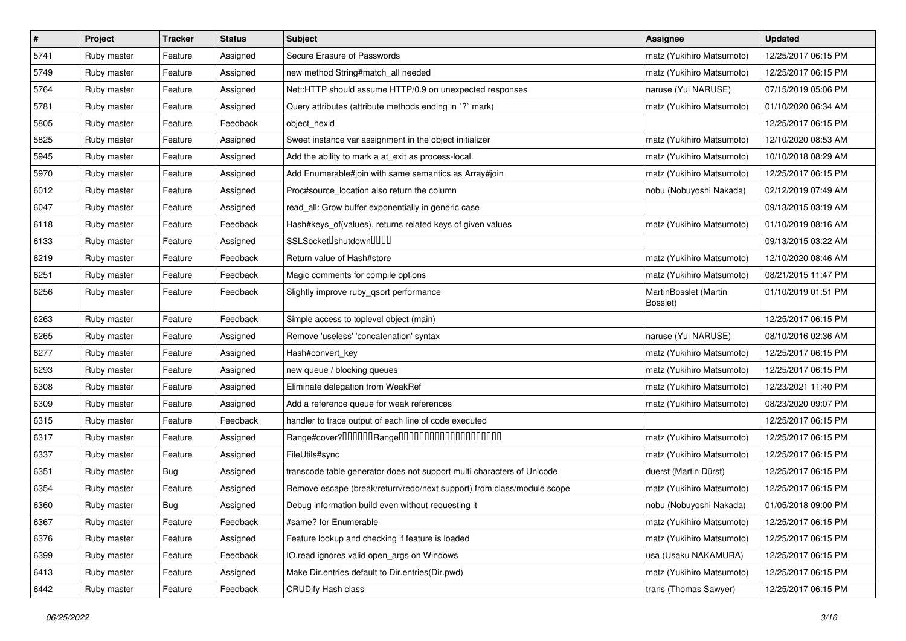| $\vert$ # | Project     | <b>Tracker</b> | <b>Status</b> | Subject                                                                | <b>Assignee</b>                   | <b>Updated</b>      |
|-----------|-------------|----------------|---------------|------------------------------------------------------------------------|-----------------------------------|---------------------|
| 5741      | Ruby master | Feature        | Assigned      | Secure Erasure of Passwords                                            | matz (Yukihiro Matsumoto)         | 12/25/2017 06:15 PM |
| 5749      | Ruby master | Feature        | Assigned      | new method String#match_all needed                                     | matz (Yukihiro Matsumoto)         | 12/25/2017 06:15 PM |
| 5764      | Ruby master | Feature        | Assigned      | Net::HTTP should assume HTTP/0.9 on unexpected responses               | naruse (Yui NARUSE)               | 07/15/2019 05:06 PM |
| 5781      | Ruby master | Feature        | Assigned      | Query attributes (attribute methods ending in `?` mark)                | matz (Yukihiro Matsumoto)         | 01/10/2020 06:34 AM |
| 5805      | Ruby master | Feature        | Feedback      | object_hexid                                                           |                                   | 12/25/2017 06:15 PM |
| 5825      | Ruby master | Feature        | Assigned      | Sweet instance var assignment in the object initializer                | matz (Yukihiro Matsumoto)         | 12/10/2020 08:53 AM |
| 5945      | Ruby master | Feature        | Assigned      | Add the ability to mark a at_exit as process-local.                    | matz (Yukihiro Matsumoto)         | 10/10/2018 08:29 AM |
| 5970      | Ruby master | Feature        | Assigned      | Add Enumerable#join with same semantics as Array#join                  | matz (Yukihiro Matsumoto)         | 12/25/2017 06:15 PM |
| 6012      | Ruby master | Feature        | Assigned      | Proc#source_location also return the column                            | nobu (Nobuyoshi Nakada)           | 02/12/2019 07:49 AM |
| 6047      | Ruby master | Feature        | Assigned      | read_all: Grow buffer exponentially in generic case                    |                                   | 09/13/2015 03:19 AM |
| 6118      | Ruby master | Feature        | Feedback      | Hash#keys_of(values), returns related keys of given values             | matz (Yukihiro Matsumoto)         | 01/10/2019 08:16 AM |
| 6133      | Ruby master | Feature        | Assigned      | SSLSocket <sup>[</sup> shutdown <sup>[11]</sup>                        |                                   | 09/13/2015 03:22 AM |
| 6219      | Ruby master | Feature        | Feedback      | Return value of Hash#store                                             | matz (Yukihiro Matsumoto)         | 12/10/2020 08:46 AM |
| 6251      | Ruby master | Feature        | Feedback      | Magic comments for compile options                                     | matz (Yukihiro Matsumoto)         | 08/21/2015 11:47 PM |
| 6256      | Ruby master | Feature        | Feedback      | Slightly improve ruby_qsort performance                                | MartinBosslet (Martin<br>Bosslet) | 01/10/2019 01:51 PM |
| 6263      | Ruby master | Feature        | Feedback      | Simple access to toplevel object (main)                                |                                   | 12/25/2017 06:15 PM |
| 6265      | Ruby master | Feature        | Assigned      | Remove 'useless' 'concatenation' syntax                                | naruse (Yui NARUSE)               | 08/10/2016 02:36 AM |
| 6277      | Ruby master | Feature        | Assigned      | Hash#convert key                                                       | matz (Yukihiro Matsumoto)         | 12/25/2017 06:15 PM |
| 6293      | Ruby master | Feature        | Assigned      | new queue / blocking queues                                            | matz (Yukihiro Matsumoto)         | 12/25/2017 06:15 PM |
| 6308      | Ruby master | Feature        | Assigned      | Eliminate delegation from WeakRef                                      | matz (Yukihiro Matsumoto)         | 12/23/2021 11:40 PM |
| 6309      | Ruby master | Feature        | Assigned      | Add a reference queue for weak references                              | matz (Yukihiro Matsumoto)         | 08/23/2020 09:07 PM |
| 6315      | Ruby master | Feature        | Feedback      | handler to trace output of each line of code executed                  |                                   | 12/25/2017 06:15 PM |
| 6317      | Ruby master | Feature        | Assigned      |                                                                        | matz (Yukihiro Matsumoto)         | 12/25/2017 06:15 PM |
| 6337      | Ruby master | Feature        | Assigned      | FileUtils#sync                                                         | matz (Yukihiro Matsumoto)         | 12/25/2017 06:15 PM |
| 6351      | Ruby master | <b>Bug</b>     | Assigned      | transcode table generator does not support multi characters of Unicode | duerst (Martin Dürst)             | 12/25/2017 06:15 PM |
| 6354      | Ruby master | Feature        | Assigned      | Remove escape (break/return/redo/next support) from class/module scope | matz (Yukihiro Matsumoto)         | 12/25/2017 06:15 PM |
| 6360      | Ruby master | <b>Bug</b>     | Assigned      | Debug information build even without requesting it                     | nobu (Nobuyoshi Nakada)           | 01/05/2018 09:00 PM |
| 6367      | Ruby master | Feature        | Feedback      | #same? for Enumerable                                                  | matz (Yukihiro Matsumoto)         | 12/25/2017 06:15 PM |
| 6376      | Ruby master | Feature        | Assigned      | Feature lookup and checking if feature is loaded                       | matz (Yukihiro Matsumoto)         | 12/25/2017 06:15 PM |
| 6399      | Ruby master | Feature        | Feedback      | IO.read ignores valid open_args on Windows                             | usa (Usaku NAKAMURA)              | 12/25/2017 06:15 PM |
| 6413      | Ruby master | Feature        | Assigned      | Make Dir.entries default to Dir.entries(Dir.pwd)                       | matz (Yukihiro Matsumoto)         | 12/25/2017 06:15 PM |
| 6442      | Ruby master | Feature        | Feedback      | <b>CRUDify Hash class</b>                                              | trans (Thomas Sawyer)             | 12/25/2017 06:15 PM |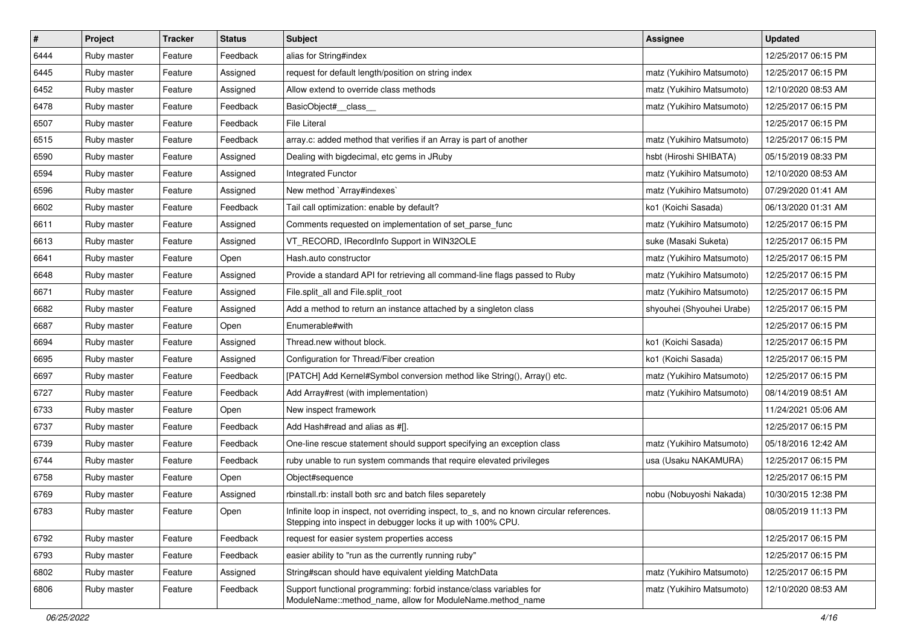| $\sharp$ | Project     | <b>Tracker</b> | <b>Status</b> | Subject                                                                                                                                                  | <b>Assignee</b>           | <b>Updated</b>      |
|----------|-------------|----------------|---------------|----------------------------------------------------------------------------------------------------------------------------------------------------------|---------------------------|---------------------|
| 6444     | Ruby master | Feature        | Feedback      | alias for String#index                                                                                                                                   |                           | 12/25/2017 06:15 PM |
| 6445     | Ruby master | Feature        | Assigned      | request for default length/position on string index                                                                                                      | matz (Yukihiro Matsumoto) | 12/25/2017 06:15 PM |
| 6452     | Ruby master | Feature        | Assigned      | Allow extend to override class methods                                                                                                                   | matz (Yukihiro Matsumoto) | 12/10/2020 08:53 AM |
| 6478     | Ruby master | Feature        | Feedback      | BasicObject# class                                                                                                                                       | matz (Yukihiro Matsumoto) | 12/25/2017 06:15 PM |
| 6507     | Ruby master | Feature        | Feedback      | <b>File Literal</b>                                                                                                                                      |                           | 12/25/2017 06:15 PM |
| 6515     | Ruby master | Feature        | Feedback      | array.c: added method that verifies if an Array is part of another                                                                                       | matz (Yukihiro Matsumoto) | 12/25/2017 06:15 PM |
| 6590     | Ruby master | Feature        | Assigned      | Dealing with bigdecimal, etc gems in JRuby                                                                                                               | hsbt (Hiroshi SHIBATA)    | 05/15/2019 08:33 PM |
| 6594     | Ruby master | Feature        | Assigned      | <b>Integrated Functor</b>                                                                                                                                | matz (Yukihiro Matsumoto) | 12/10/2020 08:53 AM |
| 6596     | Ruby master | Feature        | Assigned      | New method `Array#indexes`                                                                                                                               | matz (Yukihiro Matsumoto) | 07/29/2020 01:41 AM |
| 6602     | Ruby master | Feature        | Feedback      | Tail call optimization: enable by default?                                                                                                               | ko1 (Koichi Sasada)       | 06/13/2020 01:31 AM |
| 6611     | Ruby master | Feature        | Assigned      | Comments requested on implementation of set_parse_func                                                                                                   | matz (Yukihiro Matsumoto) | 12/25/2017 06:15 PM |
| 6613     | Ruby master | Feature        | Assigned      | VT_RECORD, IRecordInfo Support in WIN32OLE                                                                                                               | suke (Masaki Suketa)      | 12/25/2017 06:15 PM |
| 6641     | Ruby master | Feature        | Open          | Hash.auto constructor                                                                                                                                    | matz (Yukihiro Matsumoto) | 12/25/2017 06:15 PM |
| 6648     | Ruby master | Feature        | Assigned      | Provide a standard API for retrieving all command-line flags passed to Ruby                                                                              | matz (Yukihiro Matsumoto) | 12/25/2017 06:15 PM |
| 6671     | Ruby master | Feature        | Assigned      | File.split_all and File.split_root                                                                                                                       | matz (Yukihiro Matsumoto) | 12/25/2017 06:15 PM |
| 6682     | Ruby master | Feature        | Assigned      | Add a method to return an instance attached by a singleton class                                                                                         | shyouhei (Shyouhei Urabe) | 12/25/2017 06:15 PM |
| 6687     | Ruby master | Feature        | Open          | Enumerable#with                                                                                                                                          |                           | 12/25/2017 06:15 PM |
| 6694     | Ruby master | Feature        | Assigned      | Thread.new without block.                                                                                                                                | ko1 (Koichi Sasada)       | 12/25/2017 06:15 PM |
| 6695     | Ruby master | Feature        | Assigned      | Configuration for Thread/Fiber creation                                                                                                                  | ko1 (Koichi Sasada)       | 12/25/2017 06:15 PM |
| 6697     | Ruby master | Feature        | Feedback      | [PATCH] Add Kernel#Symbol conversion method like String(), Array() etc.                                                                                  | matz (Yukihiro Matsumoto) | 12/25/2017 06:15 PM |
| 6727     | Ruby master | Feature        | Feedback      | Add Array#rest (with implementation)                                                                                                                     | matz (Yukihiro Matsumoto) | 08/14/2019 08:51 AM |
| 6733     | Ruby master | Feature        | Open          | New inspect framework                                                                                                                                    |                           | 11/24/2021 05:06 AM |
| 6737     | Ruby master | Feature        | Feedback      | Add Hash#read and alias as #[].                                                                                                                          |                           | 12/25/2017 06:15 PM |
| 6739     | Ruby master | Feature        | Feedback      | One-line rescue statement should support specifying an exception class                                                                                   | matz (Yukihiro Matsumoto) | 05/18/2016 12:42 AM |
| 6744     | Ruby master | Feature        | Feedback      | ruby unable to run system commands that require elevated privileges                                                                                      | usa (Usaku NAKAMURA)      | 12/25/2017 06:15 PM |
| 6758     | Ruby master | Feature        | Open          | Object#sequence                                                                                                                                          |                           | 12/25/2017 06:15 PM |
| 6769     | Ruby master | Feature        | Assigned      | rbinstall.rb: install both src and batch files separetely                                                                                                | nobu (Nobuyoshi Nakada)   | 10/30/2015 12:38 PM |
| 6783     | Ruby master | Feature        | Open          | Infinite loop in inspect, not overriding inspect, to_s, and no known circular references<br>Stepping into inspect in debugger locks it up with 100% CPU. |                           | 08/05/2019 11:13 PM |
| 6792     | Ruby master | Feature        | Feedback      | request for easier system properties access                                                                                                              |                           | 12/25/2017 06:15 PM |
| 6793     | Ruby master | Feature        | Feedback      | easier ability to "run as the currently running ruby"                                                                                                    |                           | 12/25/2017 06:15 PM |
| 6802     | Ruby master | Feature        | Assigned      | String#scan should have equivalent yielding MatchData                                                                                                    | matz (Yukihiro Matsumoto) | 12/25/2017 06:15 PM |
| 6806     | Ruby master | Feature        | Feedback      | Support functional programming: forbid instance/class variables for<br>ModuleName::method_name, allow for ModuleName.method_name                         | matz (Yukihiro Matsumoto) | 12/10/2020 08:53 AM |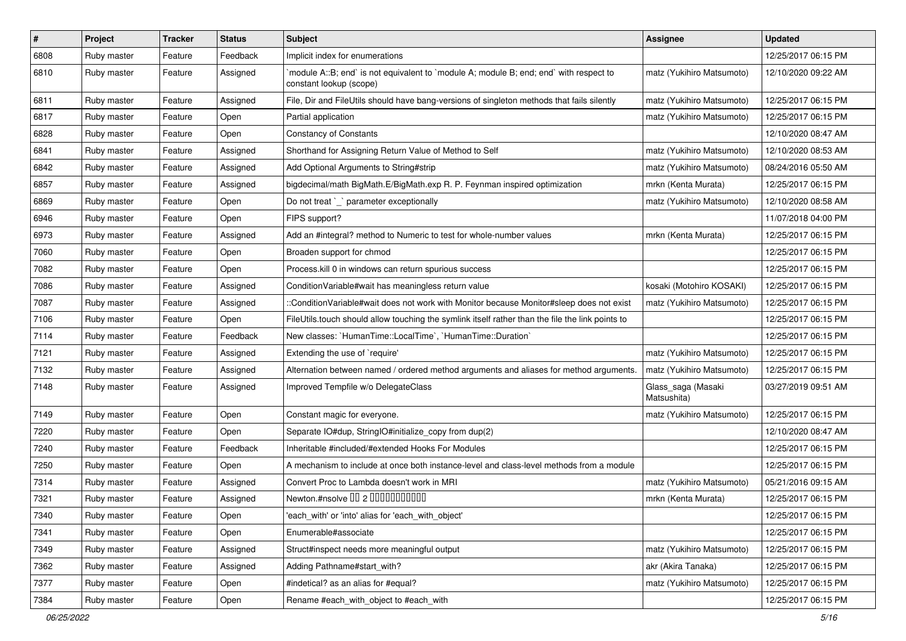| $\#$ | Project     | <b>Tracker</b> | <b>Status</b> | Subject                                                                                                          | <b>Assignee</b>                   | <b>Updated</b>      |
|------|-------------|----------------|---------------|------------------------------------------------------------------------------------------------------------------|-----------------------------------|---------------------|
| 6808 | Ruby master | Feature        | Feedback      | Implicit index for enumerations                                                                                  |                                   | 12/25/2017 06:15 PM |
| 6810 | Ruby master | Feature        | Assigned      | module A::B; end` is not equivalent to `module A; module B; end; end` with respect to<br>constant lookup (scope) | matz (Yukihiro Matsumoto)         | 12/10/2020 09:22 AM |
| 6811 | Ruby master | Feature        | Assigned      | File, Dir and FileUtils should have bang-versions of singleton methods that fails silently                       | matz (Yukihiro Matsumoto)         | 12/25/2017 06:15 PM |
| 6817 | Ruby master | Feature        | Open          | Partial application                                                                                              | matz (Yukihiro Matsumoto)         | 12/25/2017 06:15 PM |
| 6828 | Ruby master | Feature        | Open          | <b>Constancy of Constants</b>                                                                                    |                                   | 12/10/2020 08:47 AM |
| 6841 | Ruby master | Feature        | Assigned      | Shorthand for Assigning Return Value of Method to Self                                                           | matz (Yukihiro Matsumoto)         | 12/10/2020 08:53 AM |
| 6842 | Ruby master | Feature        | Assigned      | Add Optional Arguments to String#strip                                                                           | matz (Yukihiro Matsumoto)         | 08/24/2016 05:50 AM |
| 6857 | Ruby master | Feature        | Assigned      | bigdecimal/math BigMath.E/BigMath.exp R. P. Feynman inspired optimization                                        | mrkn (Kenta Murata)               | 12/25/2017 06:15 PM |
| 6869 | Ruby master | Feature        | Open          | Do not treat `_` parameter exceptionally                                                                         | matz (Yukihiro Matsumoto)         | 12/10/2020 08:58 AM |
| 6946 | Ruby master | Feature        | Open          | FIPS support?                                                                                                    |                                   | 11/07/2018 04:00 PM |
| 6973 | Ruby master | Feature        | Assigned      | Add an #integral? method to Numeric to test for whole-number values                                              | mrkn (Kenta Murata)               | 12/25/2017 06:15 PM |
| 7060 | Ruby master | Feature        | Open          | Broaden support for chmod                                                                                        |                                   | 12/25/2017 06:15 PM |
| 7082 | Ruby master | Feature        | Open          | Process. kill 0 in windows can return spurious success                                                           |                                   | 12/25/2017 06:15 PM |
| 7086 | Ruby master | Feature        | Assigned      | ConditionVariable#wait has meaningless return value                                                              | kosaki (Motohiro KOSAKI)          | 12/25/2017 06:15 PM |
| 7087 | Ruby master | Feature        | Assigned      | ::ConditionVariable#wait does not work with Monitor because Monitor#sleep does not exist                         | matz (Yukihiro Matsumoto)         | 12/25/2017 06:15 PM |
| 7106 | Ruby master | Feature        | Open          | FileUtils.touch should allow touching the symlink itself rather than the file the link points to                 |                                   | 12/25/2017 06:15 PM |
| 7114 | Ruby master | Feature        | Feedback      | New classes: `HumanTime::LocalTime`, `HumanTime::Duration`                                                       |                                   | 12/25/2017 06:15 PM |
| 7121 | Ruby master | Feature        | Assigned      | Extending the use of `require'                                                                                   | matz (Yukihiro Matsumoto)         | 12/25/2017 06:15 PM |
| 7132 | Ruby master | Feature        | Assigned      | Alternation between named / ordered method arguments and aliases for method arguments.                           | matz (Yukihiro Matsumoto)         | 12/25/2017 06:15 PM |
| 7148 | Ruby master | Feature        | Assigned      | Improved Tempfile w/o DelegateClass                                                                              | Glass_saga (Masaki<br>Matsushita) | 03/27/2019 09:51 AM |
| 7149 | Ruby master | Feature        | Open          | Constant magic for everyone.                                                                                     | matz (Yukihiro Matsumoto)         | 12/25/2017 06:15 PM |
| 7220 | Ruby master | Feature        | Open          | Separate IO#dup, StringIO#initialize_copy from dup(2)                                                            |                                   | 12/10/2020 08:47 AM |
| 7240 | Ruby master | Feature        | Feedback      | Inheritable #included/#extended Hooks For Modules                                                                |                                   | 12/25/2017 06:15 PM |
| 7250 | Ruby master | Feature        | Open          | A mechanism to include at once both instance-level and class-level methods from a module                         |                                   | 12/25/2017 06:15 PM |
| 7314 | Ruby master | Feature        | Assigned      | Convert Proc to Lambda doesn't work in MRI                                                                       | matz (Yukihiro Matsumoto)         | 05/21/2016 09:15 AM |
| 7321 | Ruby master | Feature        | Assigned      | Newton.#nsolve 00 2 00000000000                                                                                  | mrkn (Kenta Murata)               | 12/25/2017 06:15 PM |
| 7340 | Ruby master | Feature        | Open          | 'each_with' or 'into' alias for 'each_with_object'                                                               |                                   | 12/25/2017 06:15 PM |
| 7341 | Ruby master | Feature        | Open          | Enumerable#associate                                                                                             |                                   | 12/25/2017 06:15 PM |
| 7349 | Ruby master | Feature        | Assigned      | Struct#inspect needs more meaningful output                                                                      | matz (Yukihiro Matsumoto)         | 12/25/2017 06:15 PM |
| 7362 | Ruby master | Feature        | Assigned      | Adding Pathname#start with?                                                                                      | akr (Akira Tanaka)                | 12/25/2017 06:15 PM |
| 7377 | Ruby master | Feature        | Open          | #indetical? as an alias for #equal?                                                                              | matz (Yukihiro Matsumoto)         | 12/25/2017 06:15 PM |
| 7384 | Ruby master | Feature        | Open          | Rename #each_with_object to #each_with                                                                           |                                   | 12/25/2017 06:15 PM |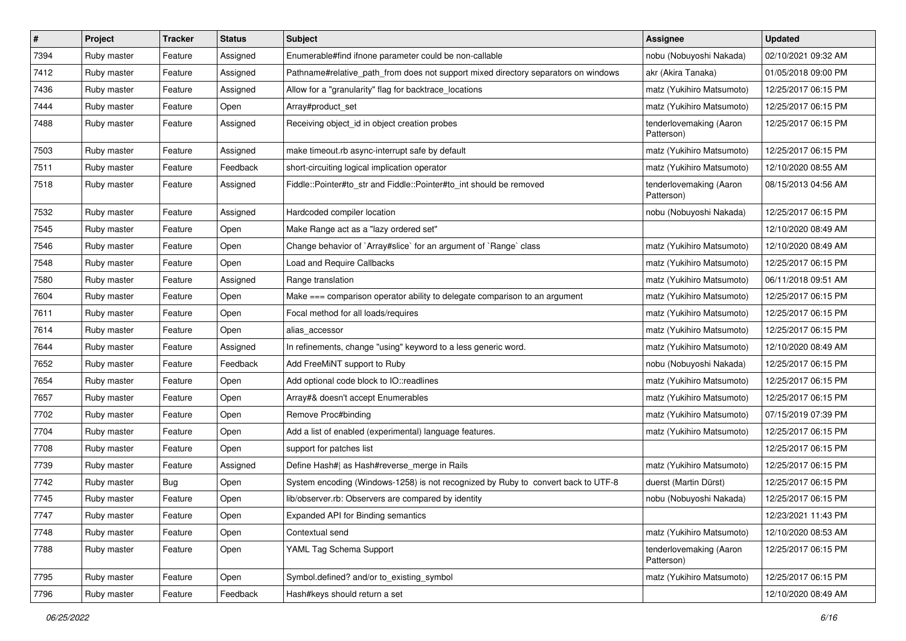| $\vert$ # | Project     | <b>Tracker</b> | <b>Status</b> | Subject                                                                            | <b>Assignee</b>                       | <b>Updated</b>      |
|-----------|-------------|----------------|---------------|------------------------------------------------------------------------------------|---------------------------------------|---------------------|
| 7394      | Ruby master | Feature        | Assigned      | Enumerable#find ifnone parameter could be non-callable                             | nobu (Nobuyoshi Nakada)               | 02/10/2021 09:32 AM |
| 7412      | Ruby master | Feature        | Assigned      | Pathname#relative_path_from does not support mixed directory separators on windows | akr (Akira Tanaka)                    | 01/05/2018 09:00 PM |
| 7436      | Ruby master | Feature        | Assigned      | Allow for a "granularity" flag for backtrace_locations                             | matz (Yukihiro Matsumoto)             | 12/25/2017 06:15 PM |
| 7444      | Ruby master | Feature        | Open          | Array#product_set                                                                  | matz (Yukihiro Matsumoto)             | 12/25/2017 06:15 PM |
| 7488      | Ruby master | Feature        | Assigned      | Receiving object_id in object creation probes                                      | tenderlovemaking (Aaron<br>Patterson) | 12/25/2017 06:15 PM |
| 7503      | Ruby master | Feature        | Assigned      | make timeout.rb async-interrupt safe by default                                    | matz (Yukihiro Matsumoto)             | 12/25/2017 06:15 PM |
| 7511      | Ruby master | Feature        | Feedback      | short-circuiting logical implication operator                                      | matz (Yukihiro Matsumoto)             | 12/10/2020 08:55 AM |
| 7518      | Ruby master | Feature        | Assigned      | Fiddle::Pointer#to_str and Fiddle::Pointer#to_int should be removed                | tenderlovemaking (Aaron<br>Patterson) | 08/15/2013 04:56 AM |
| 7532      | Ruby master | Feature        | Assigned      | Hardcoded compiler location                                                        | nobu (Nobuyoshi Nakada)               | 12/25/2017 06:15 PM |
| 7545      | Ruby master | Feature        | Open          | Make Range act as a "lazy ordered set"                                             |                                       | 12/10/2020 08:49 AM |
| 7546      | Ruby master | Feature        | Open          | Change behavior of `Array#slice` for an argument of `Range` class                  | matz (Yukihiro Matsumoto)             | 12/10/2020 08:49 AM |
| 7548      | Ruby master | Feature        | Open          | <b>Load and Require Callbacks</b>                                                  | matz (Yukihiro Matsumoto)             | 12/25/2017 06:15 PM |
| 7580      | Ruby master | Feature        | Assigned      | Range translation                                                                  | matz (Yukihiro Matsumoto)             | 06/11/2018 09:51 AM |
| 7604      | Ruby master | Feature        | Open          | Make === comparison operator ability to delegate comparison to an argument         | matz (Yukihiro Matsumoto)             | 12/25/2017 06:15 PM |
| 7611      | Ruby master | Feature        | Open          | Focal method for all loads/requires                                                | matz (Yukihiro Matsumoto)             | 12/25/2017 06:15 PM |
| 7614      | Ruby master | Feature        | Open          | alias accessor                                                                     | matz (Yukihiro Matsumoto)             | 12/25/2017 06:15 PM |
| 7644      | Ruby master | Feature        | Assigned      | In refinements, change "using" keyword to a less generic word.                     | matz (Yukihiro Matsumoto)             | 12/10/2020 08:49 AM |
| 7652      | Ruby master | Feature        | Feedback      | Add FreeMiNT support to Ruby                                                       | nobu (Nobuyoshi Nakada)               | 12/25/2017 06:15 PM |
| 7654      | Ruby master | Feature        | Open          | Add optional code block to IO::readlines                                           | matz (Yukihiro Matsumoto)             | 12/25/2017 06:15 PM |
| 7657      | Ruby master | Feature        | Open          | Array#& doesn't accept Enumerables                                                 | matz (Yukihiro Matsumoto)             | 12/25/2017 06:15 PM |
| 7702      | Ruby master | Feature        | Open          | Remove Proc#binding                                                                | matz (Yukihiro Matsumoto)             | 07/15/2019 07:39 PM |
| 7704      | Ruby master | Feature        | Open          | Add a list of enabled (experimental) language features.                            | matz (Yukihiro Matsumoto)             | 12/25/2017 06:15 PM |
| 7708      | Ruby master | Feature        | Open          | support for patches list                                                           |                                       | 12/25/2017 06:15 PM |
| 7739      | Ruby master | Feature        | Assigned      | Define Hash#  as Hash#reverse_merge in Rails                                       | matz (Yukihiro Matsumoto)             | 12/25/2017 06:15 PM |
| 7742      | Ruby master | Bug            | Open          | System encoding (Windows-1258) is not recognized by Ruby to convert back to UTF-8  | duerst (Martin Dürst)                 | 12/25/2017 06:15 PM |
| 7745      | Ruby master | Feature        | Open          | lib/observer.rb: Observers are compared by identity                                | nobu (Nobuyoshi Nakada)               | 12/25/2017 06:15 PM |
| 7747      | Ruby master | Feature        | Open          | Expanded API for Binding semantics                                                 |                                       | 12/23/2021 11:43 PM |
| 7748      | Ruby master | Feature        | Open          | Contextual send                                                                    | matz (Yukihiro Matsumoto)             | 12/10/2020 08:53 AM |
| 7788      | Ruby master | Feature        | Open          | YAML Tag Schema Support                                                            | tenderlovemaking (Aaron<br>Patterson) | 12/25/2017 06:15 PM |
| 7795      | Ruby master | Feature        | Open          | Symbol.defined? and/or to existing symbol                                          | matz (Yukihiro Matsumoto)             | 12/25/2017 06:15 PM |
| 7796      | Ruby master | Feature        | Feedback      | Hash#keys should return a set                                                      |                                       | 12/10/2020 08:49 AM |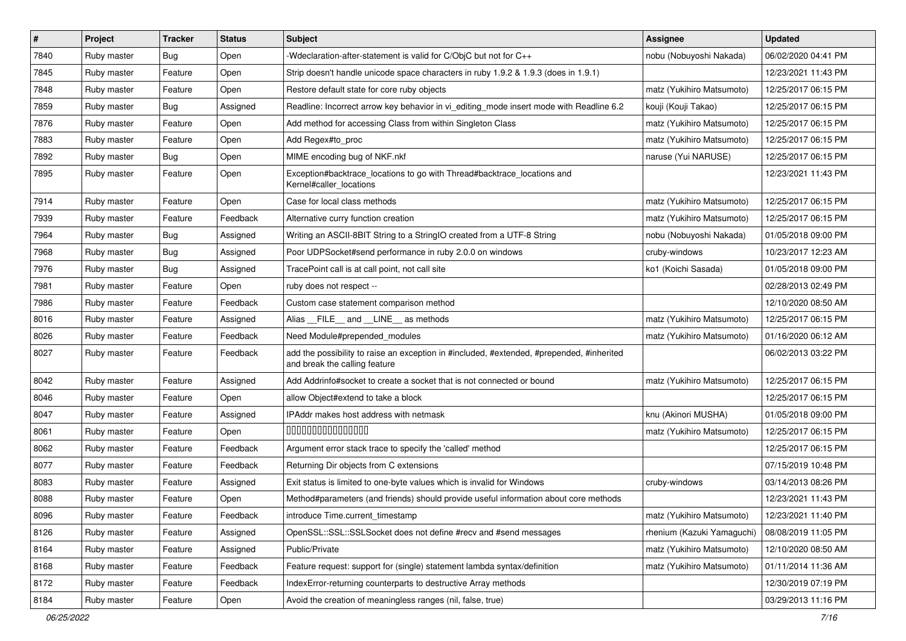| $\vert$ # | Project     | <b>Tracker</b> | <b>Status</b> | Subject                                                                                                                    | <b>Assignee</b>            | <b>Updated</b>      |
|-----------|-------------|----------------|---------------|----------------------------------------------------------------------------------------------------------------------------|----------------------------|---------------------|
| 7840      | Ruby master | <b>Bug</b>     | Open          | -Wdeclaration-after-statement is valid for C/ObjC but not for C++                                                          | nobu (Nobuyoshi Nakada)    | 06/02/2020 04:41 PM |
| 7845      | Ruby master | Feature        | Open          | Strip doesn't handle unicode space characters in ruby 1.9.2 & 1.9.3 (does in 1.9.1)                                        |                            | 12/23/2021 11:43 PM |
| 7848      | Ruby master | Feature        | Open          | Restore default state for core ruby objects                                                                                | matz (Yukihiro Matsumoto)  | 12/25/2017 06:15 PM |
| 7859      | Ruby master | Bug            | Assigned      | Readline: Incorrect arrow key behavior in vi_editing_mode insert mode with Readline 6.2                                    | kouji (Kouji Takao)        | 12/25/2017 06:15 PM |
| 7876      | Ruby master | Feature        | Open          | Add method for accessing Class from within Singleton Class                                                                 | matz (Yukihiro Matsumoto)  | 12/25/2017 06:15 PM |
| 7883      | Ruby master | Feature        | Open          | Add Regex#to_proc                                                                                                          | matz (Yukihiro Matsumoto)  | 12/25/2017 06:15 PM |
| 7892      | Ruby master | Bug            | Open          | MIME encoding bug of NKF.nkf                                                                                               | naruse (Yui NARUSE)        | 12/25/2017 06:15 PM |
| 7895      | Ruby master | Feature        | Open          | Exception#backtrace_locations to go with Thread#backtrace_locations and<br>Kernel#caller_locations                         |                            | 12/23/2021 11:43 PM |
| 7914      | Ruby master | Feature        | Open          | Case for local class methods                                                                                               | matz (Yukihiro Matsumoto)  | 12/25/2017 06:15 PM |
| 7939      | Ruby master | Feature        | Feedback      | Alternative curry function creation                                                                                        | matz (Yukihiro Matsumoto)  | 12/25/2017 06:15 PM |
| 7964      | Ruby master | Bug            | Assigned      | Writing an ASCII-8BIT String to a StringIO created from a UTF-8 String                                                     | nobu (Nobuyoshi Nakada)    | 01/05/2018 09:00 PM |
| 7968      | Ruby master | Bug            | Assigned      | Poor UDPSocket#send performance in ruby 2.0.0 on windows                                                                   | cruby-windows              | 10/23/2017 12:23 AM |
| 7976      | Ruby master | Bug            | Assigned      | TracePoint call is at call point, not call site                                                                            | ko1 (Koichi Sasada)        | 01/05/2018 09:00 PM |
| 7981      | Ruby master | Feature        | Open          | ruby does not respect --                                                                                                   |                            | 02/28/2013 02:49 PM |
| 7986      | Ruby master | Feature        | Feedback      | Custom case statement comparison method                                                                                    |                            | 12/10/2020 08:50 AM |
| 8016      | Ruby master | Feature        | Assigned      | Alias FILE and LINE as methods                                                                                             | matz (Yukihiro Matsumoto)  | 12/25/2017 06:15 PM |
| 8026      | Ruby master | Feature        | Feedback      | Need Module#prepended_modules                                                                                              | matz (Yukihiro Matsumoto)  | 01/16/2020 06:12 AM |
| 8027      | Ruby master | Feature        | Feedback      | add the possibility to raise an exception in #included, #extended, #prepended, #inherited<br>and break the calling feature |                            | 06/02/2013 03:22 PM |
| 8042      | Ruby master | Feature        | Assigned      | Add Addrinfo#socket to create a socket that is not connected or bound                                                      | matz (Yukihiro Matsumoto)  | 12/25/2017 06:15 PM |
| 8046      | Ruby master | Feature        | Open          | allow Object#extend to take a block                                                                                        |                            | 12/25/2017 06:15 PM |
| 8047      | Ruby master | Feature        | Assigned      | IPAddr makes host address with netmask                                                                                     | knu (Akinori MUSHA)        | 01/05/2018 09:00 PM |
| 8061      | Ruby master | Feature        | Open          | 000000000000000                                                                                                            | matz (Yukihiro Matsumoto)  | 12/25/2017 06:15 PM |
| 8062      | Ruby master | Feature        | Feedback      | Argument error stack trace to specify the 'called' method                                                                  |                            | 12/25/2017 06:15 PM |
| 8077      | Ruby master | Feature        | Feedback      | Returning Dir objects from C extensions                                                                                    |                            | 07/15/2019 10:48 PM |
| 8083      | Ruby master | Feature        | Assigned      | Exit status is limited to one-byte values which is invalid for Windows                                                     | cruby-windows              | 03/14/2013 08:26 PM |
| 8088      | Ruby master | Feature        | Open          | Method#parameters (and friends) should provide useful information about core methods                                       |                            | 12/23/2021 11:43 PM |
| 8096      | Ruby master | Feature        | Feedback      | introduce Time.current_timestamp                                                                                           | matz (Yukihiro Matsumoto)  | 12/23/2021 11:40 PM |
| 8126      | Ruby master | Feature        | Assigned      | OpenSSL::SSL:SSLSocket does not define #recv and #send messages                                                            | rhenium (Kazuki Yamaguchi) | 08/08/2019 11:05 PM |
| 8164      | Ruby master | Feature        | Assigned      | Public/Private                                                                                                             | matz (Yukihiro Matsumoto)  | 12/10/2020 08:50 AM |
| 8168      | Ruby master | Feature        | Feedback      | Feature request: support for (single) statement lambda syntax/definition                                                   | matz (Yukihiro Matsumoto)  | 01/11/2014 11:36 AM |
| 8172      | Ruby master | Feature        | Feedback      | IndexError-returning counterparts to destructive Array methods                                                             |                            | 12/30/2019 07:19 PM |
| 8184      | Ruby master | Feature        | Open          | Avoid the creation of meaningless ranges (nil, false, true)                                                                |                            | 03/29/2013 11:16 PM |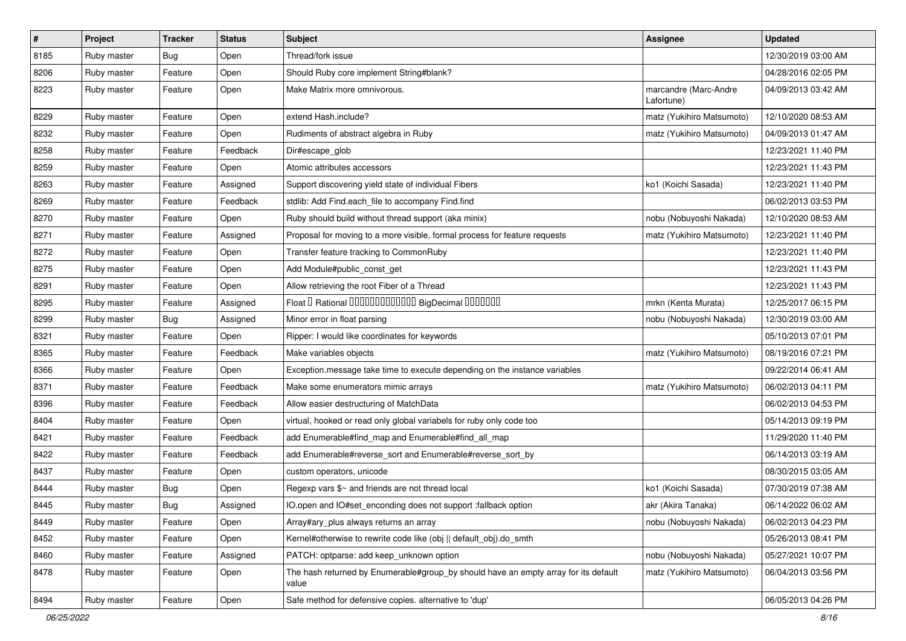| $\pmb{\#}$ | Project     | <b>Tracker</b> | <b>Status</b> | Subject                                                                                      | <b>Assignee</b>                     | <b>Updated</b>      |
|------------|-------------|----------------|---------------|----------------------------------------------------------------------------------------------|-------------------------------------|---------------------|
| 8185       | Ruby master | Bug            | Open          | Thread/fork issue                                                                            |                                     | 12/30/2019 03:00 AM |
| 8206       | Ruby master | Feature        | Open          | Should Ruby core implement String#blank?                                                     |                                     | 04/28/2016 02:05 PM |
| 8223       | Ruby master | Feature        | Open          | Make Matrix more omnivorous.                                                                 | marcandre (Marc-Andre<br>Lafortune) | 04/09/2013 03:42 AM |
| 8229       | Ruby master | Feature        | Open          | extend Hash.include?                                                                         | matz (Yukihiro Matsumoto)           | 12/10/2020 08:53 AM |
| 8232       | Ruby master | Feature        | Open          | Rudiments of abstract algebra in Ruby                                                        | matz (Yukihiro Matsumoto)           | 04/09/2013 01:47 AM |
| 8258       | Ruby master | Feature        | Feedback      | Dir#escape_glob                                                                              |                                     | 12/23/2021 11:40 PM |
| 8259       | Ruby master | Feature        | Open          | Atomic attributes accessors                                                                  |                                     | 12/23/2021 11:43 PM |
| 8263       | Ruby master | Feature        | Assigned      | Support discovering yield state of individual Fibers                                         | ko1 (Koichi Sasada)                 | 12/23/2021 11:40 PM |
| 8269       | Ruby master | Feature        | Feedback      | stdlib: Add Find.each_file to accompany Find.find                                            |                                     | 06/02/2013 03:53 PM |
| 8270       | Ruby master | Feature        | Open          | Ruby should build without thread support (aka minix)                                         | nobu (Nobuyoshi Nakada)             | 12/10/2020 08:53 AM |
| 8271       | Ruby master | Feature        | Assigned      | Proposal for moving to a more visible, formal process for feature requests                   | matz (Yukihiro Matsumoto)           | 12/23/2021 11:40 PM |
| 8272       | Ruby master | Feature        | Open          | Transfer feature tracking to CommonRuby                                                      |                                     | 12/23/2021 11:40 PM |
| 8275       | Ruby master | Feature        | Open          | Add Module#public_const_get                                                                  |                                     | 12/23/2021 11:43 PM |
| 8291       | Ruby master | Feature        | Open          | Allow retrieving the root Fiber of a Thread                                                  |                                     | 12/23/2021 11:43 PM |
| 8295       | Ruby master | Feature        | Assigned      | Float I Rational IIIIIIIIIIIIIIIIIII BigDecimal IIIIIIIIII                                   | mrkn (Kenta Murata)                 | 12/25/2017 06:15 PM |
| 8299       | Ruby master | Bug            | Assigned      | Minor error in float parsing                                                                 | nobu (Nobuyoshi Nakada)             | 12/30/2019 03:00 AM |
| 8321       | Ruby master | Feature        | Open          | Ripper: I would like coordinates for keywords                                                |                                     | 05/10/2013 07:01 PM |
| 8365       | Ruby master | Feature        | Feedback      | Make variables objects                                                                       | matz (Yukihiro Matsumoto)           | 08/19/2016 07:21 PM |
| 8366       | Ruby master | Feature        | Open          | Exception.message take time to execute depending on the instance variables                   |                                     | 09/22/2014 06:41 AM |
| 8371       | Ruby master | Feature        | Feedback      | Make some enumerators mimic arrays                                                           | matz (Yukihiro Matsumoto)           | 06/02/2013 04:11 PM |
| 8396       | Ruby master | Feature        | Feedback      | Allow easier destructuring of MatchData                                                      |                                     | 06/02/2013 04:53 PM |
| 8404       | Ruby master | Feature        | Open          | virtual, hooked or read only global variabels for ruby only code too                         |                                     | 05/14/2013 09:19 PM |
| 8421       | Ruby master | Feature        | Feedback      | add Enumerable#find_map and Enumerable#find_all_map                                          |                                     | 11/29/2020 11:40 PM |
| 8422       | Ruby master | Feature        | Feedback      | add Enumerable#reverse_sort and Enumerable#reverse_sort_by                                   |                                     | 06/14/2013 03:19 AM |
| 8437       | Ruby master | Feature        | Open          | custom operators, unicode                                                                    |                                     | 08/30/2015 03:05 AM |
| 8444       | Ruby master | Bug            | Open          | Regexp vars \$~ and friends are not thread local                                             | ko1 (Koichi Sasada)                 | 07/30/2019 07:38 AM |
| 8445       | Ruby master | <b>Bug</b>     | Assigned      | IO.open and IO#set_enconding does not support :fallback option                               | akr (Akira Tanaka)                  | 06/14/2022 06:02 AM |
| 8449       | Ruby master | Feature        | Open          | Array#ary_plus always returns an array                                                       | nobu (Nobuyoshi Nakada)             | 06/02/2013 04:23 PM |
| 8452       | Ruby master | Feature        | Open          | Kernel#otherwise to rewrite code like (obj    default_obj).do_smth                           |                                     | 05/26/2013 08:41 PM |
| 8460       | Ruby master | Feature        | Assigned      | PATCH: optparse: add keep_unknown option                                                     | nobu (Nobuyoshi Nakada)             | 05/27/2021 10:07 PM |
| 8478       | Ruby master | Feature        | Open          | The hash returned by Enumerable#group_by should have an empty array for its default<br>value | matz (Yukihiro Matsumoto)           | 06/04/2013 03:56 PM |
| 8494       | Ruby master | Feature        | Open          | Safe method for defensive copies. alternative to 'dup'                                       |                                     | 06/05/2013 04:26 PM |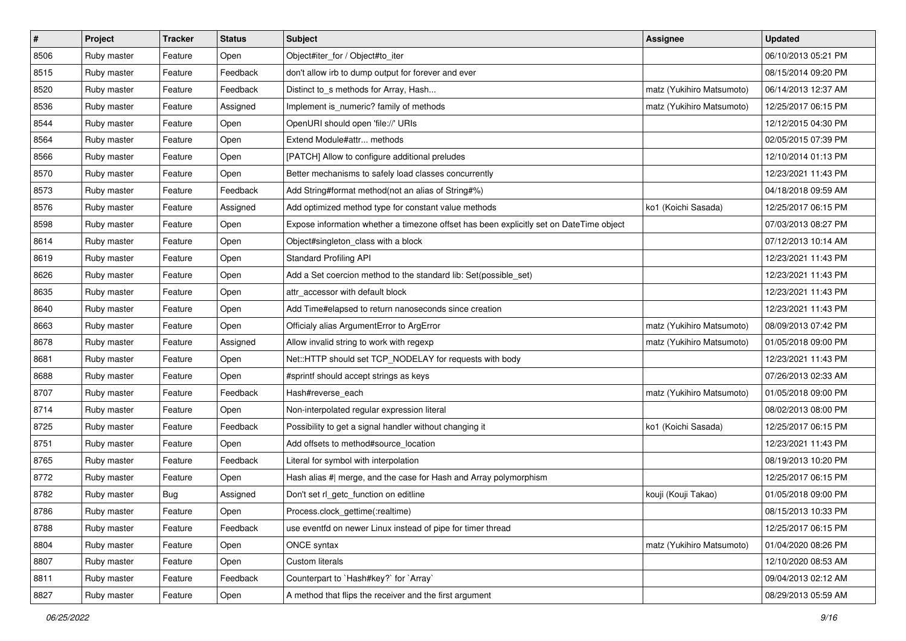| $\sharp$ | Project     | <b>Tracker</b> | <b>Status</b> | <b>Subject</b>                                                                          | <b>Assignee</b>           | <b>Updated</b>      |
|----------|-------------|----------------|---------------|-----------------------------------------------------------------------------------------|---------------------------|---------------------|
| 8506     | Ruby master | Feature        | Open          | Object#iter_for / Object#to_iter                                                        |                           | 06/10/2013 05:21 PM |
| 8515     | Ruby master | Feature        | Feedback      | don't allow irb to dump output for forever and ever                                     |                           | 08/15/2014 09:20 PM |
| 8520     | Ruby master | Feature        | Feedback      | Distinct to_s methods for Array, Hash                                                   | matz (Yukihiro Matsumoto) | 06/14/2013 12:37 AM |
| 8536     | Ruby master | Feature        | Assigned      | Implement is_numeric? family of methods                                                 | matz (Yukihiro Matsumoto) | 12/25/2017 06:15 PM |
| 8544     | Ruby master | Feature        | Open          | OpenURI should open 'file://' URIs                                                      |                           | 12/12/2015 04:30 PM |
| 8564     | Ruby master | Feature        | Open          | Extend Module#attr methods                                                              |                           | 02/05/2015 07:39 PM |
| 8566     | Ruby master | Feature        | Open          | [PATCH] Allow to configure additional preludes                                          |                           | 12/10/2014 01:13 PM |
| 8570     | Ruby master | Feature        | Open          | Better mechanisms to safely load classes concurrently                                   |                           | 12/23/2021 11:43 PM |
| 8573     | Ruby master | Feature        | Feedback      | Add String#format method(not an alias of String#%)                                      |                           | 04/18/2018 09:59 AM |
| 8576     | Ruby master | Feature        | Assigned      | Add optimized method type for constant value methods                                    | ko1 (Koichi Sasada)       | 12/25/2017 06:15 PM |
| 8598     | Ruby master | Feature        | Open          | Expose information whether a timezone offset has been explicitly set on DateTime object |                           | 07/03/2013 08:27 PM |
| 8614     | Ruby master | Feature        | Open          | Object#singleton_class with a block                                                     |                           | 07/12/2013 10:14 AM |
| 8619     | Ruby master | Feature        | Open          | <b>Standard Profiling API</b>                                                           |                           | 12/23/2021 11:43 PM |
| 8626     | Ruby master | Feature        | Open          | Add a Set coercion method to the standard lib: Set(possible_set)                        |                           | 12/23/2021 11:43 PM |
| 8635     | Ruby master | Feature        | Open          | attr accessor with default block                                                        |                           | 12/23/2021 11:43 PM |
| 8640     | Ruby master | Feature        | Open          | Add Time#elapsed to return nanoseconds since creation                                   |                           | 12/23/2021 11:43 PM |
| 8663     | Ruby master | Feature        | Open          | Officialy alias ArgumentError to ArgError                                               | matz (Yukihiro Matsumoto) | 08/09/2013 07:42 PM |
| 8678     | Ruby master | Feature        | Assigned      | Allow invalid string to work with regexp                                                | matz (Yukihiro Matsumoto) | 01/05/2018 09:00 PM |
| 8681     | Ruby master | Feature        | Open          | Net::HTTP should set TCP_NODELAY for requests with body                                 |                           | 12/23/2021 11:43 PM |
| 8688     | Ruby master | Feature        | Open          | #sprintf should accept strings as keys                                                  |                           | 07/26/2013 02:33 AM |
| 8707     | Ruby master | Feature        | Feedback      | Hash#reverse each                                                                       | matz (Yukihiro Matsumoto) | 01/05/2018 09:00 PM |
| 8714     | Ruby master | Feature        | Open          | Non-interpolated regular expression literal                                             |                           | 08/02/2013 08:00 PM |
| 8725     | Ruby master | Feature        | Feedback      | Possibility to get a signal handler without changing it                                 | ko1 (Koichi Sasada)       | 12/25/2017 06:15 PM |
| 8751     | Ruby master | Feature        | Open          | Add offsets to method#source_location                                                   |                           | 12/23/2021 11:43 PM |
| 8765     | Ruby master | Feature        | Feedback      | Literal for symbol with interpolation                                                   |                           | 08/19/2013 10:20 PM |
| 8772     | Ruby master | Feature        | Open          | Hash alias #  merge, and the case for Hash and Array polymorphism                       |                           | 12/25/2017 06:15 PM |
| 8782     | Ruby master | Bug            | Assigned      | Don't set rl_getc_function on editline                                                  | kouji (Kouji Takao)       | 01/05/2018 09:00 PM |
| 8786     | Ruby master | Feature        | Open          | Process.clock_gettime(:realtime)                                                        |                           | 08/15/2013 10:33 PM |
| 8788     | Ruby master | Feature        | Feedback      | use eventfd on newer Linux instead of pipe for timer thread                             |                           | 12/25/2017 06:15 PM |
| 8804     | Ruby master | Feature        | Open          | ONCE syntax                                                                             | matz (Yukihiro Matsumoto) | 01/04/2020 08:26 PM |
| 8807     | Ruby master | Feature        | Open          | Custom literals                                                                         |                           | 12/10/2020 08:53 AM |
| 8811     | Ruby master | Feature        | Feedback      | Counterpart to `Hash#key?` for `Array`                                                  |                           | 09/04/2013 02:12 AM |
| 8827     | Ruby master | Feature        | Open          | A method that flips the receiver and the first argument                                 |                           | 08/29/2013 05:59 AM |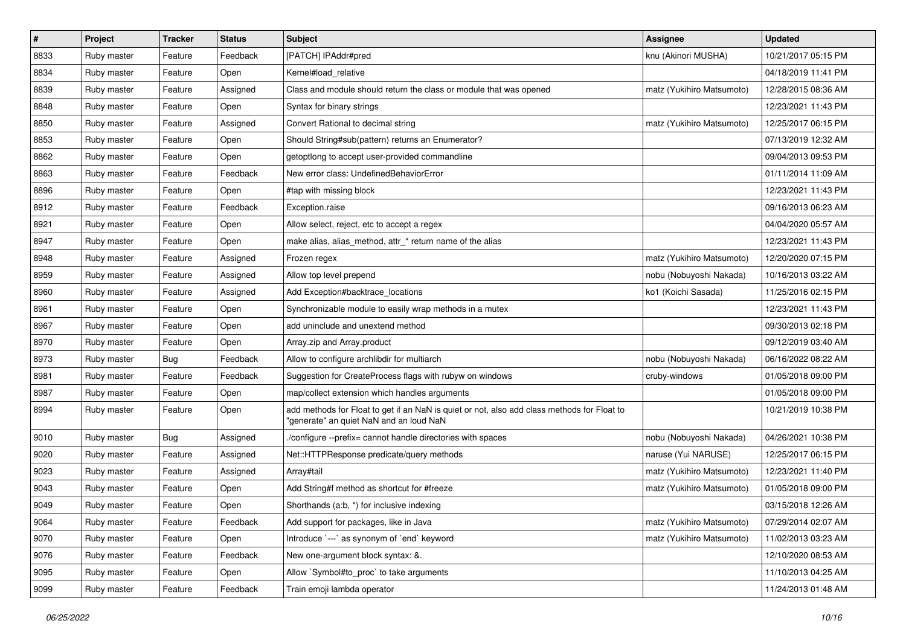| $\sharp$ | Project     | <b>Tracker</b> | <b>Status</b> | Subject                                                                                                                                | <b>Assignee</b>           | <b>Updated</b>      |
|----------|-------------|----------------|---------------|----------------------------------------------------------------------------------------------------------------------------------------|---------------------------|---------------------|
| 8833     | Ruby master | Feature        | Feedback      | [PATCH] IPAddr#pred                                                                                                                    | knu (Akinori MUSHA)       | 10/21/2017 05:15 PM |
| 8834     | Ruby master | Feature        | Open          | Kernel#load_relative                                                                                                                   |                           | 04/18/2019 11:41 PM |
| 8839     | Ruby master | Feature        | Assigned      | Class and module should return the class or module that was opened                                                                     | matz (Yukihiro Matsumoto) | 12/28/2015 08:36 AM |
| 8848     | Ruby master | Feature        | Open          | Syntax for binary strings                                                                                                              |                           | 12/23/2021 11:43 PM |
| 8850     | Ruby master | Feature        | Assigned      | Convert Rational to decimal string                                                                                                     | matz (Yukihiro Matsumoto) | 12/25/2017 06:15 PM |
| 8853     | Ruby master | Feature        | Open          | Should String#sub(pattern) returns an Enumerator?                                                                                      |                           | 07/13/2019 12:32 AM |
| 8862     | Ruby master | Feature        | Open          | getoptlong to accept user-provided commandline                                                                                         |                           | 09/04/2013 09:53 PM |
| 8863     | Ruby master | Feature        | Feedback      | New error class: UndefinedBehaviorError                                                                                                |                           | 01/11/2014 11:09 AM |
| 8896     | Ruby master | Feature        | Open          | #tap with missing block                                                                                                                |                           | 12/23/2021 11:43 PM |
| 8912     | Ruby master | Feature        | Feedback      | Exception.raise                                                                                                                        |                           | 09/16/2013 06:23 AM |
| 8921     | Ruby master | Feature        | Open          | Allow select, reject, etc to accept a regex                                                                                            |                           | 04/04/2020 05:57 AM |
| 8947     | Ruby master | Feature        | Open          | make alias, alias_method, attr_* return name of the alias                                                                              |                           | 12/23/2021 11:43 PM |
| 8948     | Ruby master | Feature        | Assigned      | Frozen regex                                                                                                                           | matz (Yukihiro Matsumoto) | 12/20/2020 07:15 PM |
| 8959     | Ruby master | Feature        | Assigned      | Allow top level prepend                                                                                                                | nobu (Nobuyoshi Nakada)   | 10/16/2013 03:22 AM |
| 8960     | Ruby master | Feature        | Assigned      | Add Exception#backtrace_locations                                                                                                      | ko1 (Koichi Sasada)       | 11/25/2016 02:15 PM |
| 8961     | Ruby master | Feature        | Open          | Synchronizable module to easily wrap methods in a mutex                                                                                |                           | 12/23/2021 11:43 PM |
| 8967     | Ruby master | Feature        | Open          | add uninclude and unextend method                                                                                                      |                           | 09/30/2013 02:18 PM |
| 8970     | Ruby master | Feature        | Open          | Array.zip and Array.product                                                                                                            |                           | 09/12/2019 03:40 AM |
| 8973     | Ruby master | Bug            | Feedback      | Allow to configure archlibdir for multiarch                                                                                            | nobu (Nobuyoshi Nakada)   | 06/16/2022 08:22 AM |
| 8981     | Ruby master | Feature        | Feedback      | Suggestion for CreateProcess flags with rubyw on windows                                                                               | cruby-windows             | 01/05/2018 09:00 PM |
| 8987     | Ruby master | Feature        | Open          | map/collect extension which handles arguments                                                                                          |                           | 01/05/2018 09:00 PM |
| 8994     | Ruby master | Feature        | Open          | add methods for Float to get if an NaN is quiet or not, also add class methods for Float to<br>'generate" an quiet NaN and an loud NaN |                           | 10/21/2019 10:38 PM |
| 9010     | Ruby master | Bug            | Assigned      | /configure --prefix= cannot handle directories with spaces                                                                             | nobu (Nobuyoshi Nakada)   | 04/26/2021 10:38 PM |
| 9020     | Ruby master | Feature        | Assigned      | Net::HTTPResponse predicate/query methods                                                                                              | naruse (Yui NARUSE)       | 12/25/2017 06:15 PM |
| 9023     | Ruby master | Feature        | Assigned      | Array#tail                                                                                                                             | matz (Yukihiro Matsumoto) | 12/23/2021 11:40 PM |
| 9043     | Ruby master | Feature        | Open          | Add String#f method as shortcut for #freeze                                                                                            | matz (Yukihiro Matsumoto) | 01/05/2018 09:00 PM |
| 9049     | Ruby master | Feature        | Open          | Shorthands (a:b, *) for inclusive indexing                                                                                             |                           | 03/15/2018 12:26 AM |
| 9064     | Ruby master | Feature        | Feedback      | Add support for packages, like in Java                                                                                                 | matz (Yukihiro Matsumoto) | 07/29/2014 02:07 AM |
| 9070     | Ruby master | Feature        | Open          | Introduce `---` as synonym of `end` keyword                                                                                            | matz (Yukihiro Matsumoto) | 11/02/2013 03:23 AM |
| 9076     | Ruby master | Feature        | Feedback      | New one-argument block syntax: &.                                                                                                      |                           | 12/10/2020 08:53 AM |
| 9095     | Ruby master | Feature        | Open          | Allow `Symbol#to_proc` to take arguments                                                                                               |                           | 11/10/2013 04:25 AM |
| 9099     | Ruby master | Feature        | Feedback      | Train emoji lambda operator                                                                                                            |                           | 11/24/2013 01:48 AM |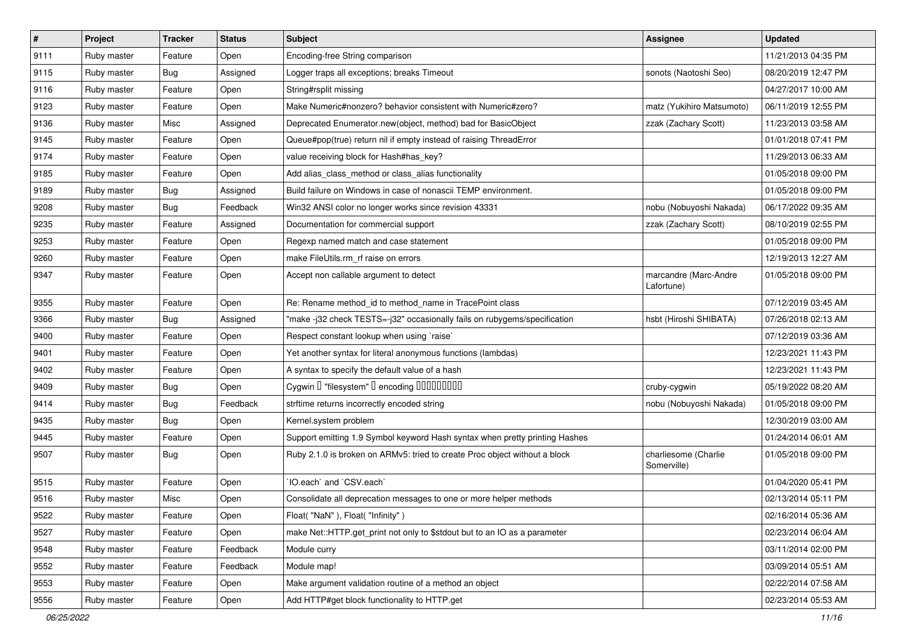| $\vert$ # | Project     | <b>Tracker</b> | <b>Status</b> | Subject                                                                     | <b>Assignee</b>                     | <b>Updated</b>      |
|-----------|-------------|----------------|---------------|-----------------------------------------------------------------------------|-------------------------------------|---------------------|
| 9111      | Ruby master | Feature        | Open          | Encoding-free String comparison                                             |                                     | 11/21/2013 04:35 PM |
| 9115      | Ruby master | Bug            | Assigned      | Logger traps all exceptions; breaks Timeout                                 | sonots (Naotoshi Seo)               | 08/20/2019 12:47 PM |
| 9116      | Ruby master | Feature        | Open          | String#rsplit missing                                                       |                                     | 04/27/2017 10:00 AM |
| 9123      | Ruby master | Feature        | Open          | Make Numeric#nonzero? behavior consistent with Numeric#zero?                | matz (Yukihiro Matsumoto)           | 06/11/2019 12:55 PM |
| 9136      | Ruby master | Misc           | Assigned      | Deprecated Enumerator.new(object, method) bad for BasicObject               | zzak (Zachary Scott)                | 11/23/2013 03:58 AM |
| 9145      | Ruby master | Feature        | Open          | Queue#pop(true) return nil if empty instead of raising ThreadError          |                                     | 01/01/2018 07:41 PM |
| 9174      | Ruby master | Feature        | Open          | value receiving block for Hash#has_key?                                     |                                     | 11/29/2013 06:33 AM |
| 9185      | Ruby master | Feature        | Open          | Add alias_class_method or class_alias functionality                         |                                     | 01/05/2018 09:00 PM |
| 9189      | Ruby master | <b>Bug</b>     | Assigned      | Build failure on Windows in case of nonascii TEMP environment.              |                                     | 01/05/2018 09:00 PM |
| 9208      | Ruby master | Bug            | Feedback      | Win32 ANSI color no longer works since revision 43331                       | nobu (Nobuyoshi Nakada)             | 06/17/2022 09:35 AM |
| 9235      | Ruby master | Feature        | Assigned      | Documentation for commercial support                                        | zzak (Zachary Scott)                | 08/10/2019 02:55 PM |
| 9253      | Ruby master | Feature        | Open          | Regexp named match and case statement                                       |                                     | 01/05/2018 09:00 PM |
| 9260      | Ruby master | Feature        | Open          | make FileUtils.rm_rf raise on errors                                        |                                     | 12/19/2013 12:27 AM |
| 9347      | Ruby master | Feature        | Open          | Accept non callable argument to detect                                      | marcandre (Marc-Andre<br>Lafortune) | 01/05/2018 09:00 PM |
| 9355      | Ruby master | Feature        | Open          | Re: Rename method_id to method_name in TracePoint class                     |                                     | 07/12/2019 03:45 AM |
| 9366      | Ruby master | <b>Bug</b>     | Assigned      | "make-j32 check TESTS=-j32" occasionally fails on rubygems/specification    | hsbt (Hiroshi SHIBATA)              | 07/26/2018 02:13 AM |
| 9400      | Ruby master | Feature        | Open          | Respect constant lookup when using 'raise'                                  |                                     | 07/12/2019 03:36 AM |
| 9401      | Ruby master | Feature        | Open          | Yet another syntax for literal anonymous functions (lambdas)                |                                     | 12/23/2021 11:43 PM |
| 9402      | Ruby master | Feature        | Open          | A syntax to specify the default value of a hash                             |                                     | 12/23/2021 11:43 PM |
| 9409      | Ruby master | <b>Bug</b>     | Open          | Cygwin I "filesystem" I encoding IIIIIIIIIIIII                              | cruby-cygwin                        | 05/19/2022 08:20 AM |
| 9414      | Ruby master | Bug            | Feedback      | strftime returns incorrectly encoded string                                 | nobu (Nobuyoshi Nakada)             | 01/05/2018 09:00 PM |
| 9435      | Ruby master | <b>Bug</b>     | Open          | Kernel.system problem                                                       |                                     | 12/30/2019 03:00 AM |
| 9445      | Ruby master | Feature        | Open          | Support emitting 1.9 Symbol keyword Hash syntax when pretty printing Hashes |                                     | 01/24/2014 06:01 AM |
| 9507      | Ruby master | Bug            | Open          | Ruby 2.1.0 is broken on ARMv5: tried to create Proc object without a block  | charliesome (Charlie<br>Somerville) | 01/05/2018 09:00 PM |
| 9515      | Ruby master | Feature        | Open          | 'IO.each' and 'CSV.each'                                                    |                                     | 01/04/2020 05:41 PM |
| 9516      | Ruby master | Misc           | Open          | Consolidate all deprecation messages to one or more helper methods          |                                     | 02/13/2014 05:11 PM |
| 9522      | Ruby master | Feature        | Open          | Float("NaN"), Float("Infinity")                                             |                                     | 02/16/2014 05:36 AM |
| 9527      | Ruby master | Feature        | Open          | make Net::HTTP.get_print not only to \$stdout but to an IO as a parameter   |                                     | 02/23/2014 06:04 AM |
| 9548      | Ruby master | Feature        | Feedback      | Module curry                                                                |                                     | 03/11/2014 02:00 PM |
| 9552      | Ruby master | Feature        | Feedback      | Module map!                                                                 |                                     | 03/09/2014 05:51 AM |
| 9553      | Ruby master | Feature        | Open          | Make argument validation routine of a method an object                      |                                     | 02/22/2014 07:58 AM |
| 9556      | Ruby master | Feature        | Open          | Add HTTP#get block functionality to HTTP.get                                |                                     | 02/23/2014 05:53 AM |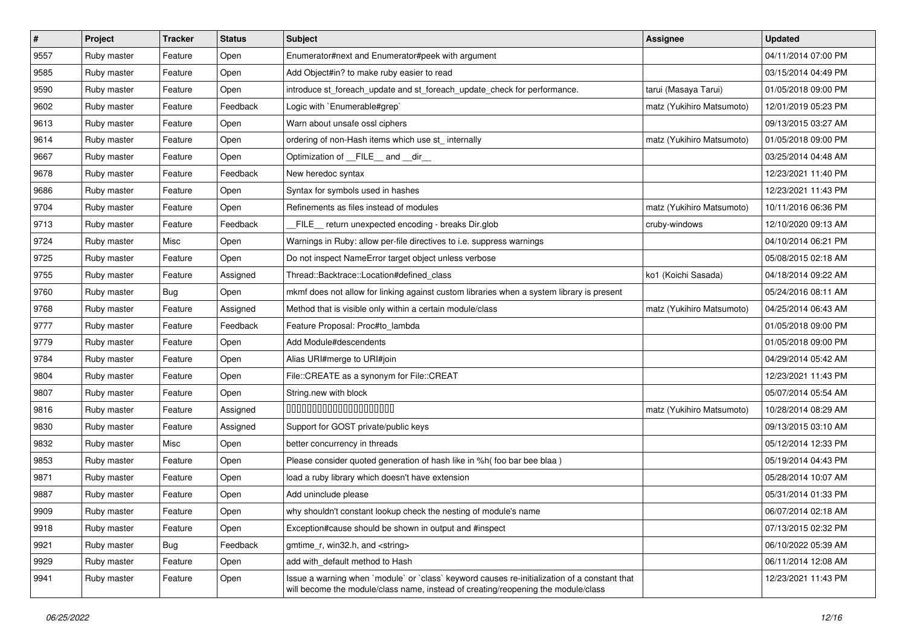| $\vert$ # | Project     | <b>Tracker</b> | <b>Status</b> | Subject                                                                                                                                                                           | <b>Assignee</b>           | <b>Updated</b>      |
|-----------|-------------|----------------|---------------|-----------------------------------------------------------------------------------------------------------------------------------------------------------------------------------|---------------------------|---------------------|
| 9557      | Ruby master | Feature        | Open          | Enumerator#next and Enumerator#peek with argument                                                                                                                                 |                           | 04/11/2014 07:00 PM |
| 9585      | Ruby master | Feature        | Open          | Add Object#in? to make ruby easier to read                                                                                                                                        |                           | 03/15/2014 04:49 PM |
| 9590      | Ruby master | Feature        | Open          | introduce st_foreach_update and st_foreach_update_check for performance.                                                                                                          | tarui (Masaya Tarui)      | 01/05/2018 09:00 PM |
| 9602      | Ruby master | Feature        | Feedback      | Logic with `Enumerable#grep`                                                                                                                                                      | matz (Yukihiro Matsumoto) | 12/01/2019 05:23 PM |
| 9613      | Ruby master | Feature        | Open          | Warn about unsafe ossl ciphers                                                                                                                                                    |                           | 09/13/2015 03:27 AM |
| 9614      | Ruby master | Feature        | Open          | ordering of non-Hash items which use st_internally                                                                                                                                | matz (Yukihiro Matsumoto) | 01/05/2018 09:00 PM |
| 9667      | Ruby master | Feature        | Open          | Optimization of FILE_and _dir_                                                                                                                                                    |                           | 03/25/2014 04:48 AM |
| 9678      | Ruby master | Feature        | Feedback      | New heredoc syntax                                                                                                                                                                |                           | 12/23/2021 11:40 PM |
| 9686      | Ruby master | Feature        | Open          | Syntax for symbols used in hashes                                                                                                                                                 |                           | 12/23/2021 11:43 PM |
| 9704      | Ruby master | Feature        | Open          | Refinements as files instead of modules                                                                                                                                           | matz (Yukihiro Matsumoto) | 10/11/2016 06:36 PM |
| 9713      | Ruby master | Feature        | Feedback      | FILE_ return unexpected encoding - breaks Dir.glob                                                                                                                                | cruby-windows             | 12/10/2020 09:13 AM |
| 9724      | Ruby master | Misc           | Open          | Warnings in Ruby: allow per-file directives to i.e. suppress warnings                                                                                                             |                           | 04/10/2014 06:21 PM |
| 9725      | Ruby master | Feature        | Open          | Do not inspect NameError target object unless verbose                                                                                                                             |                           | 05/08/2015 02:18 AM |
| 9755      | Ruby master | Feature        | Assigned      | Thread::Backtrace::Location#defined_class                                                                                                                                         | ko1 (Koichi Sasada)       | 04/18/2014 09:22 AM |
| 9760      | Ruby master | Bug            | Open          | mkmf does not allow for linking against custom libraries when a system library is present                                                                                         |                           | 05/24/2016 08:11 AM |
| 9768      | Ruby master | Feature        | Assigned      | Method that is visible only within a certain module/class                                                                                                                         | matz (Yukihiro Matsumoto) | 04/25/2014 06:43 AM |
| 9777      | Ruby master | Feature        | Feedback      | Feature Proposal: Proc#to_lambda                                                                                                                                                  |                           | 01/05/2018 09:00 PM |
| 9779      | Ruby master | Feature        | Open          | Add Module#descendents                                                                                                                                                            |                           | 01/05/2018 09:00 PM |
| 9784      | Ruby master | Feature        | Open          | Alias URI#merge to URI#join                                                                                                                                                       |                           | 04/29/2014 05:42 AM |
| 9804      | Ruby master | Feature        | Open          | File::CREATE as a synonym for File::CREAT                                                                                                                                         |                           | 12/23/2021 11:43 PM |
| 9807      | Ruby master | Feature        | Open          | String.new with block                                                                                                                                                             |                           | 05/07/2014 05:54 AM |
| 9816      | Ruby master | Feature        | Assigned      | 00000000000000000000                                                                                                                                                              | matz (Yukihiro Matsumoto) | 10/28/2014 08:29 AM |
| 9830      | Ruby master | Feature        | Assigned      | Support for GOST private/public keys                                                                                                                                              |                           | 09/13/2015 03:10 AM |
| 9832      | Ruby master | Misc           | Open          | better concurrency in threads                                                                                                                                                     |                           | 05/12/2014 12:33 PM |
| 9853      | Ruby master | Feature        | Open          | Please consider quoted generation of hash like in %h( foo bar bee blaa )                                                                                                          |                           | 05/19/2014 04:43 PM |
| 9871      | Ruby master | Feature        | Open          | load a ruby library which doesn't have extension                                                                                                                                  |                           | 05/28/2014 10:07 AM |
| 9887      | Ruby master | Feature        | Open          | Add uninclude please                                                                                                                                                              |                           | 05/31/2014 01:33 PM |
| 9909      | Ruby master | Feature        | Open          | why shouldn't constant lookup check the nesting of module's name                                                                                                                  |                           | 06/07/2014 02:18 AM |
| 9918      | Ruby master | Feature        | Open          | Exception#cause should be shown in output and #inspect                                                                                                                            |                           | 07/13/2015 02:32 PM |
| 9921      | Ruby master | Bug            | Feedback      | gmtime r, win32.h, and <string></string>                                                                                                                                          |                           | 06/10/2022 05:39 AM |
| 9929      | Ruby master | Feature        | Open          | add with_default method to Hash                                                                                                                                                   |                           | 06/11/2014 12:08 AM |
| 9941      | Ruby master | Feature        | Open          | Issue a warning when `module` or `class` keyword causes re-initialization of a constant that<br>will become the module/class name, instead of creating/reopening the module/class |                           | 12/23/2021 11:43 PM |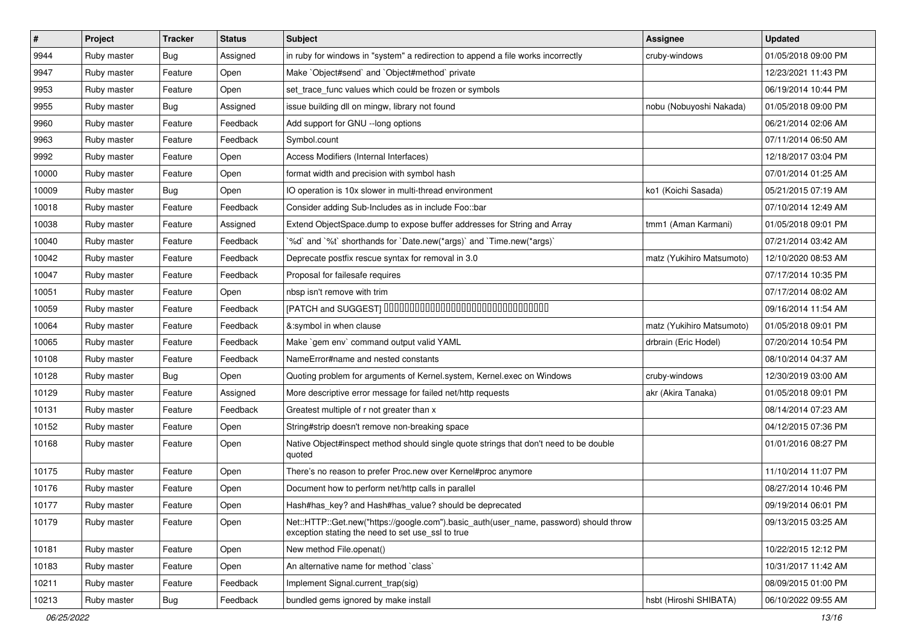| $\vert$ # | Project     | <b>Tracker</b> | <b>Status</b> | <b>Subject</b>                                                                                                                             | <b>Assignee</b>           | <b>Updated</b>      |
|-----------|-------------|----------------|---------------|--------------------------------------------------------------------------------------------------------------------------------------------|---------------------------|---------------------|
| 9944      | Ruby master | <b>Bug</b>     | Assigned      | in ruby for windows in "system" a redirection to append a file works incorrectly                                                           | cruby-windows             | 01/05/2018 09:00 PM |
| 9947      | Ruby master | Feature        | Open          | Make `Object#send` and `Object#method` private                                                                                             |                           | 12/23/2021 11:43 PM |
| 9953      | Ruby master | Feature        | Open          | set_trace_func values which could be frozen or symbols                                                                                     |                           | 06/19/2014 10:44 PM |
| 9955      | Ruby master | <b>Bug</b>     | Assigned      | issue building dll on mingw, library not found                                                                                             | nobu (Nobuyoshi Nakada)   | 01/05/2018 09:00 PM |
| 9960      | Ruby master | Feature        | Feedback      | Add support for GNU --long options                                                                                                         |                           | 06/21/2014 02:06 AM |
| 9963      | Ruby master | Feature        | Feedback      | Symbol.count                                                                                                                               |                           | 07/11/2014 06:50 AM |
| 9992      | Ruby master | Feature        | Open          | Access Modifiers (Internal Interfaces)                                                                                                     |                           | 12/18/2017 03:04 PM |
| 10000     | Ruby master | Feature        | Open          | format width and precision with symbol hash                                                                                                |                           | 07/01/2014 01:25 AM |
| 10009     | Ruby master | <b>Bug</b>     | Open          | IO operation is 10x slower in multi-thread environment                                                                                     | ko1 (Koichi Sasada)       | 05/21/2015 07:19 AM |
| 10018     | Ruby master | Feature        | Feedback      | Consider adding Sub-Includes as in include Foo::bar                                                                                        |                           | 07/10/2014 12:49 AM |
| 10038     | Ruby master | Feature        | Assigned      | Extend ObjectSpace.dump to expose buffer addresses for String and Array                                                                    | tmm1 (Aman Karmani)       | 01/05/2018 09:01 PM |
| 10040     | Ruby master | Feature        | Feedback      | '%d' and '%t' shorthands for 'Date.new(*args)' and 'Time.new(*args)'                                                                       |                           | 07/21/2014 03:42 AM |
| 10042     | Ruby master | Feature        | Feedback      | Deprecate postfix rescue syntax for removal in 3.0                                                                                         | matz (Yukihiro Matsumoto) | 12/10/2020 08:53 AM |
| 10047     | Ruby master | Feature        | Feedback      | Proposal for failesafe requires                                                                                                            |                           | 07/17/2014 10:35 PM |
| 10051     | Ruby master | Feature        | Open          | nbsp isn't remove with trim                                                                                                                |                           | 07/17/2014 08:02 AM |
| 10059     | Ruby master | Feature        | Feedback      | [PATCH and SUGGEST] 0000000000000000000000000000000                                                                                        |                           | 09/16/2014 11:54 AM |
| 10064     | Ruby master | Feature        | Feedback      | &:symbol in when clause                                                                                                                    | matz (Yukihiro Matsumoto) | 01/05/2018 09:01 PM |
| 10065     | Ruby master | Feature        | Feedback      | Make `gem env` command output valid YAML                                                                                                   | drbrain (Eric Hodel)      | 07/20/2014 10:54 PM |
| 10108     | Ruby master | Feature        | Feedback      | NameError#name and nested constants                                                                                                        |                           | 08/10/2014 04:37 AM |
| 10128     | Ruby master | Bug            | Open          | Quoting problem for arguments of Kernel.system, Kernel.exec on Windows                                                                     | cruby-windows             | 12/30/2019 03:00 AM |
| 10129     | Ruby master | Feature        | Assigned      | More descriptive error message for failed net/http requests                                                                                | akr (Akira Tanaka)        | 01/05/2018 09:01 PM |
| 10131     | Ruby master | Feature        | Feedback      | Greatest multiple of r not greater than x                                                                                                  |                           | 08/14/2014 07:23 AM |
| 10152     | Ruby master | Feature        | Open          | String#strip doesn't remove non-breaking space                                                                                             |                           | 04/12/2015 07:36 PM |
| 10168     | Ruby master | Feature        | Open          | Native Object#inspect method should single quote strings that don't need to be double<br>quoted                                            |                           | 01/01/2016 08:27 PM |
| 10175     | Ruby master | Feature        | Open          | There's no reason to prefer Proc.new over Kernel#proc anymore                                                                              |                           | 11/10/2014 11:07 PM |
| 10176     | Ruby master | Feature        | Open          | Document how to perform net/http calls in parallel                                                                                         |                           | 08/27/2014 10:46 PM |
| 10177     | Ruby master | Feature        | Open          | Hash#has_key? and Hash#has_value? should be deprecated                                                                                     |                           | 09/19/2014 06:01 PM |
| 10179     | Ruby master | Feature        | Open          | Net::HTTP::Get.new("https://google.com").basic_auth(user_name, password) should throw<br>exception stating the need to set use_ssl to true |                           | 09/13/2015 03:25 AM |
| 10181     | Ruby master | Feature        | Open          | New method File.openat()                                                                                                                   |                           | 10/22/2015 12:12 PM |
| 10183     | Ruby master | Feature        | Open          | An alternative name for method `class`                                                                                                     |                           | 10/31/2017 11:42 AM |
| 10211     | Ruby master | Feature        | Feedback      | Implement Signal.current_trap(sig)                                                                                                         |                           | 08/09/2015 01:00 PM |
| 10213     | Ruby master | Bug            | Feedback      | bundled gems ignored by make install                                                                                                       | hsbt (Hiroshi SHIBATA)    | 06/10/2022 09:55 AM |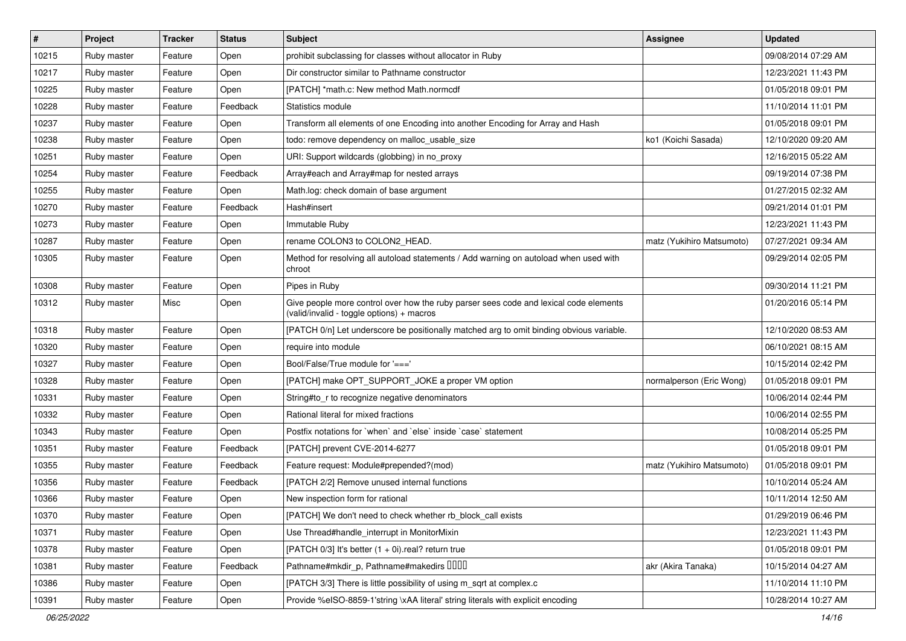| $\vert$ # | Project     | <b>Tracker</b> | <b>Status</b> | Subject                                                                                                                            | <b>Assignee</b>           | <b>Updated</b>      |
|-----------|-------------|----------------|---------------|------------------------------------------------------------------------------------------------------------------------------------|---------------------------|---------------------|
| 10215     | Ruby master | Feature        | Open          | prohibit subclassing for classes without allocator in Ruby                                                                         |                           | 09/08/2014 07:29 AM |
| 10217     | Ruby master | Feature        | Open          | Dir constructor similar to Pathname constructor                                                                                    |                           | 12/23/2021 11:43 PM |
| 10225     | Ruby master | Feature        | Open          | [PATCH] *math.c: New method Math.normcdf                                                                                           |                           | 01/05/2018 09:01 PM |
| 10228     | Ruby master | Feature        | Feedback      | Statistics module                                                                                                                  |                           | 11/10/2014 11:01 PM |
| 10237     | Ruby master | Feature        | Open          | Transform all elements of one Encoding into another Encoding for Array and Hash                                                    |                           | 01/05/2018 09:01 PM |
| 10238     | Ruby master | Feature        | Open          | todo: remove dependency on malloc_usable_size                                                                                      | ko1 (Koichi Sasada)       | 12/10/2020 09:20 AM |
| 10251     | Ruby master | Feature        | Open          | URI: Support wildcards (globbing) in no_proxy                                                                                      |                           | 12/16/2015 05:22 AM |
| 10254     | Ruby master | Feature        | Feedback      | Array#each and Array#map for nested arrays                                                                                         |                           | 09/19/2014 07:38 PM |
| 10255     | Ruby master | Feature        | Open          | Math.log: check domain of base argument                                                                                            |                           | 01/27/2015 02:32 AM |
| 10270     | Ruby master | Feature        | Feedback      | Hash#insert                                                                                                                        |                           | 09/21/2014 01:01 PM |
| 10273     | Ruby master | Feature        | Open          | Immutable Ruby                                                                                                                     |                           | 12/23/2021 11:43 PM |
| 10287     | Ruby master | Feature        | Open          | rename COLON3 to COLON2 HEAD.                                                                                                      | matz (Yukihiro Matsumoto) | 07/27/2021 09:34 AM |
| 10305     | Ruby master | Feature        | Open          | Method for resolving all autoload statements / Add warning on autoload when used with<br>chroot                                    |                           | 09/29/2014 02:05 PM |
| 10308     | Ruby master | Feature        | Open          | Pipes in Ruby                                                                                                                      |                           | 09/30/2014 11:21 PM |
| 10312     | Ruby master | Misc           | Open          | Give people more control over how the ruby parser sees code and lexical code elements<br>(valid/invalid - toggle options) + macros |                           | 01/20/2016 05:14 PM |
| 10318     | Ruby master | Feature        | Open          | [PATCH 0/n] Let underscore be positionally matched arg to omit binding obvious variable.                                           |                           | 12/10/2020 08:53 AM |
| 10320     | Ruby master | Feature        | Open          | require into module                                                                                                                |                           | 06/10/2021 08:15 AM |
| 10327     | Ruby master | Feature        | Open          | Bool/False/True module for '==='                                                                                                   |                           | 10/15/2014 02:42 PM |
| 10328     | Ruby master | Feature        | Open          | [PATCH] make OPT_SUPPORT_JOKE a proper VM option                                                                                   | normalperson (Eric Wong)  | 01/05/2018 09:01 PM |
| 10331     | Ruby master | Feature        | Open          | String#to_r to recognize negative denominators                                                                                     |                           | 10/06/2014 02:44 PM |
| 10332     | Ruby master | Feature        | Open          | Rational literal for mixed fractions                                                                                               |                           | 10/06/2014 02:55 PM |
| 10343     | Ruby master | Feature        | Open          | Postfix notations for `when` and `else` inside `case` statement                                                                    |                           | 10/08/2014 05:25 PM |
| 10351     | Ruby master | Feature        | Feedback      | [PATCH] prevent CVE-2014-6277                                                                                                      |                           | 01/05/2018 09:01 PM |
| 10355     | Ruby master | Feature        | Feedback      | Feature request: Module#prepended?(mod)                                                                                            | matz (Yukihiro Matsumoto) | 01/05/2018 09:01 PM |
| 10356     | Ruby master | Feature        | Feedback      | [PATCH 2/2] Remove unused internal functions                                                                                       |                           | 10/10/2014 05:24 AM |
| 10366     | Ruby master | Feature        | Open          | New inspection form for rational                                                                                                   |                           | 10/11/2014 12:50 AM |
| 10370     | Ruby master | Feature        | Open          | [PATCH] We don't need to check whether rb_block_call exists                                                                        |                           | 01/29/2019 06:46 PM |
| 10371     | Ruby master | Feature        | Open          | Use Thread#handle interrupt in MonitorMixin                                                                                        |                           | 12/23/2021 11:43 PM |
| 10378     | Ruby master | Feature        | Open          | [PATCH 0/3] It's better (1 + 0i).real? return true                                                                                 |                           | 01/05/2018 09:01 PM |
| 10381     | Ruby master | Feature        | Feedback      | Pathname#mkdir_p, Pathname#makedirs DDDD                                                                                           | akr (Akira Tanaka)        | 10/15/2014 04:27 AM |
| 10386     | Ruby master | Feature        | Open          | [PATCH 3/3] There is little possibility of using m_sqrt at complex.c                                                               |                           | 11/10/2014 11:10 PM |
| 10391     | Ruby master | Feature        | Open          | Provide %eISO-8859-1'string \xAA literal' string literals with explicit encoding                                                   |                           | 10/28/2014 10:27 AM |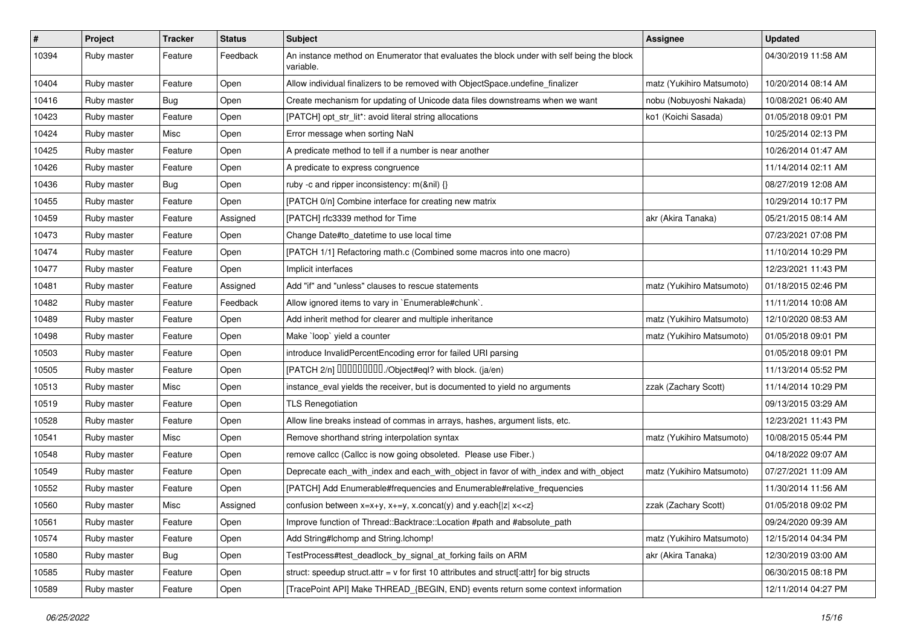| #     | Project     | <b>Tracker</b> | <b>Status</b> | <b>Subject</b>                                                                                         | <b>Assignee</b>           | <b>Updated</b>      |
|-------|-------------|----------------|---------------|--------------------------------------------------------------------------------------------------------|---------------------------|---------------------|
| 10394 | Ruby master | Feature        | Feedback      | An instance method on Enumerator that evaluates the block under with self being the block<br>variable. |                           | 04/30/2019 11:58 AM |
| 10404 | Ruby master | Feature        | Open          | Allow individual finalizers to be removed with ObjectSpace.undefine finalizer                          | matz (Yukihiro Matsumoto) | 10/20/2014 08:14 AM |
| 10416 | Ruby master | Bug            | Open          | Create mechanism for updating of Unicode data files downstreams when we want                           | nobu (Nobuyoshi Nakada)   | 10/08/2021 06:40 AM |
| 10423 | Ruby master | Feature        | Open          | [PATCH] opt_str_lit*: avoid literal string allocations                                                 | ko1 (Koichi Sasada)       | 01/05/2018 09:01 PM |
| 10424 | Ruby master | Misc           | Open          | Error message when sorting NaN                                                                         |                           | 10/25/2014 02:13 PM |
| 10425 | Ruby master | Feature        | Open          | A predicate method to tell if a number is near another                                                 |                           | 10/26/2014 01:47 AM |
| 10426 | Ruby master | Feature        | Open          | A predicate to express congruence                                                                      |                           | 11/14/2014 02:11 AM |
| 10436 | Ruby master | Bug            | Open          | ruby -c and ripper inconsistency: m(&nil) {}                                                           |                           | 08/27/2019 12:08 AM |
| 10455 | Ruby master | Feature        | Open          | [PATCH 0/n] Combine interface for creating new matrix                                                  |                           | 10/29/2014 10:17 PM |
| 10459 | Ruby master | Feature        | Assigned      | [PATCH] rfc3339 method for Time                                                                        | akr (Akira Tanaka)        | 05/21/2015 08:14 AM |
| 10473 | Ruby master | Feature        | Open          | Change Date#to datetime to use local time                                                              |                           | 07/23/2021 07:08 PM |
| 10474 | Ruby master | Feature        | Open          | [PATCH 1/1] Refactoring math.c (Combined some macros into one macro)                                   |                           | 11/10/2014 10:29 PM |
| 10477 | Ruby master | Feature        | Open          | Implicit interfaces                                                                                    |                           | 12/23/2021 11:43 PM |
| 10481 | Ruby master | Feature        | Assigned      | Add "if" and "unless" clauses to rescue statements                                                     | matz (Yukihiro Matsumoto) | 01/18/2015 02:46 PM |
| 10482 | Ruby master | Feature        | Feedback      | Allow ignored items to vary in `Enumerable#chunk`.                                                     |                           | 11/11/2014 10:08 AM |
| 10489 | Ruby master | Feature        | Open          | Add inherit method for clearer and multiple inheritance                                                | matz (Yukihiro Matsumoto) | 12/10/2020 08:53 AM |
| 10498 | Ruby master | Feature        | Open          | Make `loop` yield a counter                                                                            | matz (Yukihiro Matsumoto) | 01/05/2018 09:01 PM |
| 10503 | Ruby master | Feature        | Open          | introduce InvalidPercentEncoding error for failed URI parsing                                          |                           | 01/05/2018 09:01 PM |
| 10505 | Ruby master | Feature        | Open          | [PATCH 2/n] DDDDDDDD./Object#eql? with block. (ja/en)                                                  |                           | 11/13/2014 05:52 PM |
| 10513 | Ruby master | Misc           | Open          | instance_eval yields the receiver, but is documented to yield no arguments                             | zzak (Zachary Scott)      | 11/14/2014 10:29 PM |
| 10519 | Ruby master | Feature        | Open          | <b>TLS Renegotiation</b>                                                                               |                           | 09/13/2015 03:29 AM |
| 10528 | Ruby master | Feature        | Open          | Allow line breaks instead of commas in arrays, hashes, argument lists, etc.                            |                           | 12/23/2021 11:43 PM |
| 10541 | Ruby master | Misc           | Open          | Remove shorthand string interpolation syntax                                                           | matz (Yukihiro Matsumoto) | 10/08/2015 05:44 PM |
| 10548 | Ruby master | Feature        | Open          | remove callcc (Callcc is now going obsoleted. Please use Fiber.)                                       |                           | 04/18/2022 09:07 AM |
| 10549 | Ruby master | Feature        | Open          | Deprecate each_with_index and each_with_object in favor of with_index and with_object                  | matz (Yukihiro Matsumoto) | 07/27/2021 11:09 AM |
| 10552 | Ruby master | Feature        | Open          | [PATCH] Add Enumerable#frequencies and Enumerable#relative_frequencies                                 |                           | 11/30/2014 11:56 AM |
| 10560 | Ruby master | Misc           | Assigned      | confusion between $x=x+y$ , $x+=y$ , x.concat(y) and y.each{ z  $x<}$                                  | zzak (Zachary Scott)      | 01/05/2018 09:02 PM |
| 10561 | Ruby master | Feature        | Open          | Improve function of Thread::Backtrace::Location #path and #absolute path                               |                           | 09/24/2020 09:39 AM |
| 10574 | Ruby master | Feature        | Open          | Add String#Ichomp and String.Ichomp!                                                                   | matz (Yukihiro Matsumoto) | 12/15/2014 04:34 PM |
| 10580 | Ruby master | <b>Bug</b>     | Open          | TestProcess#test_deadlock_by_signal_at_forking fails on ARM                                            | akr (Akira Tanaka)        | 12/30/2019 03:00 AM |
| 10585 | Ruby master | Feature        | Open          | struct: speedup struct.attr = $v$ for first 10 attributes and struct[:attr] for big structs            |                           | 06/30/2015 08:18 PM |
| 10589 | Ruby master | Feature        | Open          | [TracePoint API] Make THREAD_{BEGIN, END} events return some context information                       |                           | 12/11/2014 04:27 PM |